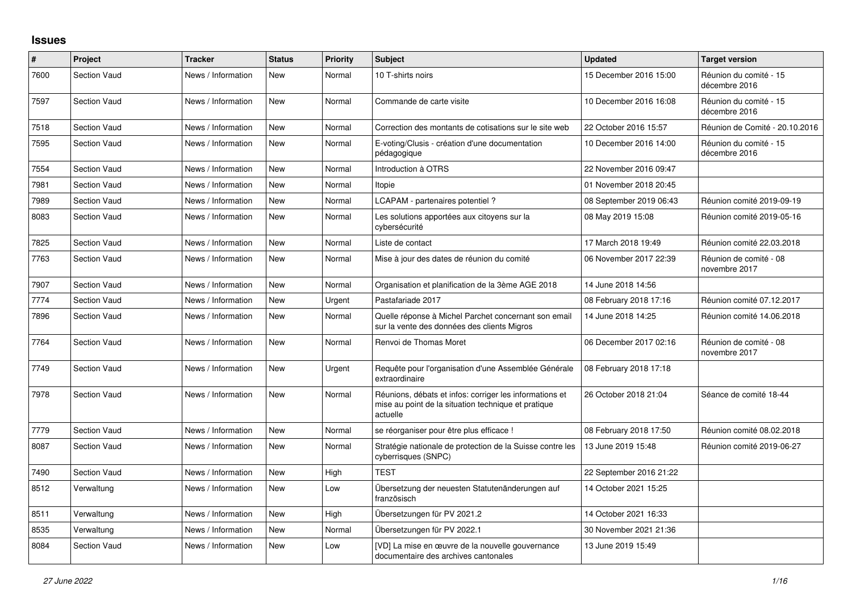## **Issues**

| #    | Project             | <b>Tracker</b>     | <b>Status</b> | Priority | <b>Subject</b>                                                                                                             | <b>Updated</b>          | <b>Target version</b>                   |
|------|---------------------|--------------------|---------------|----------|----------------------------------------------------------------------------------------------------------------------------|-------------------------|-----------------------------------------|
| 7600 | <b>Section Vaud</b> | News / Information | <b>New</b>    | Normal   | 10 T-shirts noirs                                                                                                          | 15 December 2016 15:00  | Réunion du comité - 15<br>décembre 2016 |
| 7597 | <b>Section Vaud</b> | News / Information | <b>New</b>    | Normal   | Commande de carte visite                                                                                                   | 10 December 2016 16:08  | Réunion du comité - 15<br>décembre 2016 |
| 7518 | <b>Section Vaud</b> | News / Information | <b>New</b>    | Normal   | Correction des montants de cotisations sur le site web                                                                     | 22 October 2016 15:57   | Réunion de Comité - 20.10.2016          |
| 7595 | <b>Section Vaud</b> | News / Information | New           | Normal   | E-voting/Clusis - création d'une documentation<br>pédagogique                                                              | 10 December 2016 14:00  | Réunion du comité - 15<br>décembre 2016 |
| 7554 | <b>Section Vaud</b> | News / Information | <b>New</b>    | Normal   | Introduction à OTRS                                                                                                        | 22 November 2016 09:47  |                                         |
| 7981 | <b>Section Vaud</b> | News / Information | <b>New</b>    | Normal   | Itopie                                                                                                                     | 01 November 2018 20:45  |                                         |
| 7989 | <b>Section Vaud</b> | News / Information | <b>New</b>    | Normal   | LCAPAM - partenaires potentiel ?                                                                                           | 08 September 2019 06:43 | Réunion comité 2019-09-19               |
| 8083 | <b>Section Vaud</b> | News / Information | <b>New</b>    | Normal   | Les solutions apportées aux citoyens sur la<br>cybersécurité                                                               | 08 May 2019 15:08       | Réunion comité 2019-05-16               |
| 7825 | <b>Section Vaud</b> | News / Information | New           | Normal   | Liste de contact                                                                                                           | 17 March 2018 19:49     | Réunion comité 22.03.2018               |
| 7763 | <b>Section Vaud</b> | News / Information | <b>New</b>    | Normal   | Mise à jour des dates de réunion du comité                                                                                 | 06 November 2017 22:39  | Réunion de comité - 08<br>novembre 2017 |
| 7907 | <b>Section Vaud</b> | News / Information | New           | Normal   | Organisation et planification de la 3ème AGE 2018                                                                          | 14 June 2018 14:56      |                                         |
| 7774 | <b>Section Vaud</b> | News / Information | New           | Urgent   | Pastafariade 2017                                                                                                          | 08 February 2018 17:16  | Réunion comité 07.12.2017               |
| 7896 | <b>Section Vaud</b> | News / Information | <b>New</b>    | Normal   | Quelle réponse à Michel Parchet concernant son email<br>sur la vente des données des clients Migros                        | 14 June 2018 14:25      | Réunion comité 14.06.2018               |
| 7764 | <b>Section Vaud</b> | News / Information | <b>New</b>    | Normal   | Renvoi de Thomas Moret                                                                                                     | 06 December 2017 02:16  | Réunion de comité - 08<br>novembre 2017 |
| 7749 | <b>Section Vaud</b> | News / Information | New           | Urgent   | Requête pour l'organisation d'une Assemblée Générale<br>extraordinaire                                                     | 08 February 2018 17:18  |                                         |
| 7978 | <b>Section Vaud</b> | News / Information | <b>New</b>    | Normal   | Réunions, débats et infos: corriger les informations et<br>mise au point de la situation technique et pratique<br>actuelle | 26 October 2018 21:04   | Séance de comité 18-44                  |
| 7779 | <b>Section Vaud</b> | News / Information | <b>New</b>    | Normal   | se réorganiser pour être plus efficace !                                                                                   | 08 February 2018 17:50  | Réunion comité 08.02.2018               |
| 8087 | <b>Section Vaud</b> | News / Information | <b>New</b>    | Normal   | Stratégie nationale de protection de la Suisse contre les<br>cyberrisques (SNPC)                                           | 13 June 2019 15:48      | Réunion comité 2019-06-27               |
| 7490 | <b>Section Vaud</b> | News / Information | <b>New</b>    | High     | <b>TEST</b>                                                                                                                | 22 September 2016 21:22 |                                         |
| 8512 | Verwaltung          | News / Information | New           | Low      | Übersetzung der neuesten Statutenänderungen auf<br>französisch                                                             | 14 October 2021 15:25   |                                         |
| 8511 | Verwaltung          | News / Information | <b>New</b>    | High     | Übersetzungen für PV 2021.2                                                                                                | 14 October 2021 16:33   |                                         |
| 8535 | Verwaltung          | News / Information | <b>New</b>    | Normal   | Übersetzungen für PV 2022.1                                                                                                | 30 November 2021 21:36  |                                         |
| 8084 | <b>Section Vaud</b> | News / Information | <b>New</b>    | Low      | [VD] La mise en œuvre de la nouvelle gouvernance<br>documentaire des archives cantonales                                   | 13 June 2019 15:49      |                                         |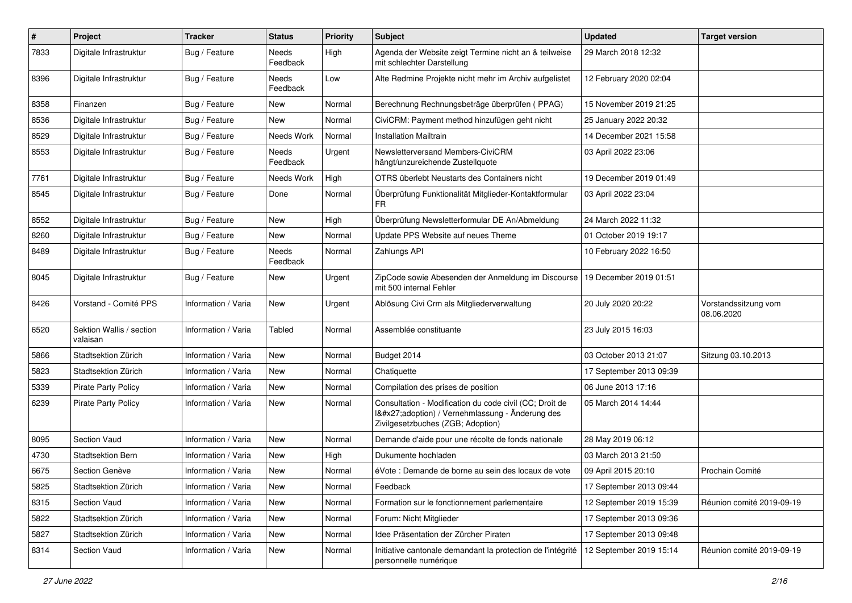| $\pmb{\#}$ | Project                              | <b>Tracker</b>      | <b>Status</b>     | <b>Priority</b> | <b>Subject</b>                                                                                                                              | <b>Updated</b>          | <b>Target version</b>              |
|------------|--------------------------------------|---------------------|-------------------|-----------------|---------------------------------------------------------------------------------------------------------------------------------------------|-------------------------|------------------------------------|
| 7833       | Digitale Infrastruktur               | Bug / Feature       | Needs<br>Feedback | High            | Agenda der Website zeigt Termine nicht an & teilweise<br>mit schlechter Darstellung                                                         | 29 March 2018 12:32     |                                    |
| 8396       | Digitale Infrastruktur               | Bug / Feature       | Needs<br>Feedback | Low             | Alte Redmine Projekte nicht mehr im Archiv aufgelistet                                                                                      | 12 February 2020 02:04  |                                    |
| 8358       | Finanzen                             | Bug / Feature       | <b>New</b>        | Normal          | Berechnung Rechnungsbeträge überprüfen (PPAG)                                                                                               | 15 November 2019 21:25  |                                    |
| 8536       | Digitale Infrastruktur               | Bug / Feature       | New               | Normal          | CiviCRM: Payment method hinzufügen geht nicht                                                                                               | 25 January 2022 20:32   |                                    |
| 8529       | Digitale Infrastruktur               | Bug / Feature       | Needs Work        | Normal          | <b>Installation Mailtrain</b>                                                                                                               | 14 December 2021 15:58  |                                    |
| 8553       | Digitale Infrastruktur               | Bug / Feature       | Needs<br>Feedback | Urgent          | Newsletterversand Members-CiviCRM<br>hängt/unzureichende Zustellquote                                                                       | 03 April 2022 23:06     |                                    |
| 7761       | Digitale Infrastruktur               | Bug / Feature       | Needs Work        | High            | OTRS überlebt Neustarts des Containers nicht                                                                                                | 19 December 2019 01:49  |                                    |
| 8545       | Digitale Infrastruktur               | Bug / Feature       | Done              | Normal          | Überprüfung Funktionalität Mitglieder-Kontaktformular<br>FR                                                                                 | 03 April 2022 23:04     |                                    |
| 8552       | Digitale Infrastruktur               | Bug / Feature       | <b>New</b>        | High            | Überprüfung Newsletterformular DE An/Abmeldung                                                                                              | 24 March 2022 11:32     |                                    |
| 8260       | Digitale Infrastruktur               | Bug / Feature       | New               | Normal          | Update PPS Website auf neues Theme                                                                                                          | 01 October 2019 19:17   |                                    |
| 8489       | Digitale Infrastruktur               | Bug / Feature       | Needs<br>Feedback | Normal          | Zahlungs API                                                                                                                                | 10 February 2022 16:50  |                                    |
| 8045       | Digitale Infrastruktur               | Bug / Feature       | New               | Urgent          | ZipCode sowie Abesenden der Anmeldung im Discourse<br>mit 500 internal Fehler                                                               | 19 December 2019 01:51  |                                    |
| 8426       | Vorstand - Comité PPS                | Information / Varia | <b>New</b>        | Urgent          | Ablösung Civi Crm als Mitgliederverwaltung                                                                                                  | 20 July 2020 20:22      | Vorstandssitzung vom<br>08.06.2020 |
| 6520       | Sektion Wallis / section<br>valaisan | Information / Varia | Tabled            | Normal          | Assemblée constituante                                                                                                                      | 23 July 2015 16:03      |                                    |
| 5866       | Stadtsektion Zürich                  | Information / Varia | <b>New</b>        | Normal          | Budget 2014                                                                                                                                 | 03 October 2013 21:07   | Sitzung 03.10.2013                 |
| 5823       | Stadtsektion Zürich                  | Information / Varia | <b>New</b>        | Normal          | Chatiquette                                                                                                                                 | 17 September 2013 09:39 |                                    |
| 5339       | <b>Pirate Party Policy</b>           | Information / Varia | New               | Normal          | Compilation des prises de position                                                                                                          | 06 June 2013 17:16      |                                    |
| 6239       | <b>Pirate Party Policy</b>           | Information / Varia | <b>New</b>        | Normal          | Consultation - Modification du code civil (CC; Droit de<br>I'adoption) / Vernehmlassung - Änderung des<br>Zivilgesetzbuches (ZGB; Adoption) | 05 March 2014 14:44     |                                    |
| 8095       | Section Vaud                         | Information / Varia | New               | Normal          | Demande d'aide pour une récolte de fonds nationale                                                                                          | 28 May 2019 06:12       |                                    |
| 4730       | Stadtsektion Bern                    | Information / Varia | New               | High            | Dukumente hochladen                                                                                                                         | 03 March 2013 21:50     |                                    |
| 6675       | Section Genève                       | Information / Varia | New               | Normal          | éVote : Demande de borne au sein des locaux de vote                                                                                         | 09 April 2015 20:10     | Prochain Comité                    |
| 5825       | Stadtsektion Zürich                  | Information / Varia | New               | Normal          | Feedback                                                                                                                                    | 17 September 2013 09:44 |                                    |
| 8315       | Section Vaud                         | Information / Varia | New               | Normal          | Formation sur le fonctionnement parlementaire                                                                                               | 12 September 2019 15:39 | Réunion comité 2019-09-19          |
| 5822       | Stadtsektion Zürich                  | Information / Varia | New               | Normal          | Forum: Nicht Mitglieder                                                                                                                     | 17 September 2013 09:36 |                                    |
| 5827       | Stadtsektion Zürich                  | Information / Varia | New               | Normal          | Idee Präsentation der Zürcher Piraten                                                                                                       | 17 September 2013 09:48 |                                    |
| 8314       | Section Vaud                         | Information / Varia | New               | Normal          | Initiative cantonale demandant la protection de l'intégrité<br>personnelle numérique                                                        | 12 September 2019 15:14 | Réunion comité 2019-09-19          |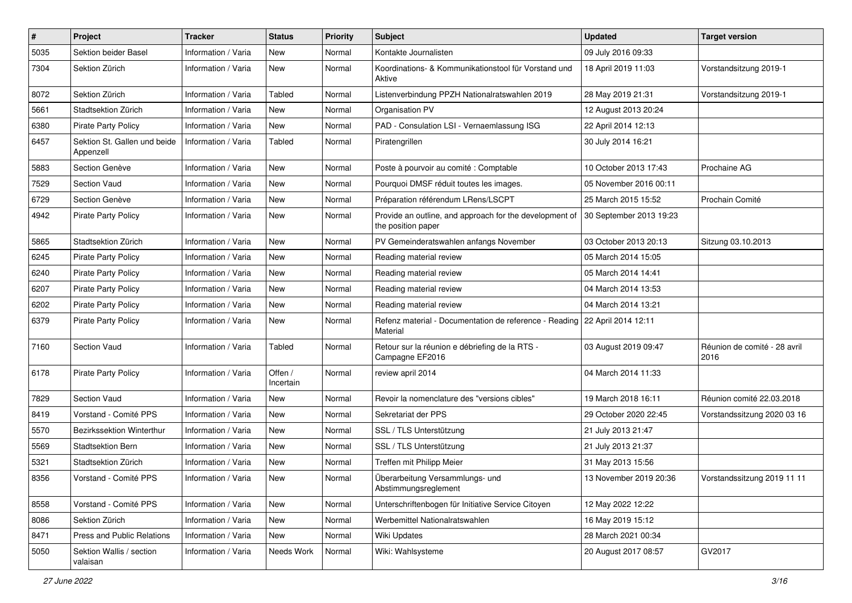| $\pmb{\#}$ | Project                                   | <b>Tracker</b>      | <b>Status</b>        | <b>Priority</b> | <b>Subject</b>                                                                | <b>Updated</b>          | <b>Target version</b>                |
|------------|-------------------------------------------|---------------------|----------------------|-----------------|-------------------------------------------------------------------------------|-------------------------|--------------------------------------|
| 5035       | Sektion beider Basel                      | Information / Varia | New                  | Normal          | Kontakte Journalisten                                                         | 09 July 2016 09:33      |                                      |
| 7304       | Sektion Zürich                            | Information / Varia | <b>New</b>           | Normal          | Koordinations- & Kommunikationstool für Vorstand und<br>Aktive                | 18 April 2019 11:03     | Vorstandsitzung 2019-1               |
| 8072       | Sektion Zürich                            | Information / Varia | <b>Tabled</b>        | Normal          | Listenverbindung PPZH Nationalratswahlen 2019                                 | 28 May 2019 21:31       | Vorstandsitzung 2019-1               |
| 5661       | Stadtsektion Zürich                       | Information / Varia | <b>New</b>           | Normal          | Organisation PV                                                               | 12 August 2013 20:24    |                                      |
| 6380       | <b>Pirate Party Policy</b>                | Information / Varia | <b>New</b>           | Normal          | PAD - Consulation LSI - Vernaemlassung ISG                                    | 22 April 2014 12:13     |                                      |
| 6457       | Sektion St. Gallen und beide<br>Appenzell | Information / Varia | Tabled               | Normal          | Piratengrillen                                                                | 30 July 2014 16:21      |                                      |
| 5883       | Section Genève                            | Information / Varia | <b>New</b>           | Normal          | Poste à pourvoir au comité : Comptable                                        | 10 October 2013 17:43   | Prochaine AG                         |
| 7529       | <b>Section Vaud</b>                       | Information / Varia | <b>New</b>           | Normal          | Pourquoi DMSF réduit toutes les images.                                       | 05 November 2016 00:11  |                                      |
| 6729       | Section Genève                            | Information / Varia | <b>New</b>           | Normal          | Préparation référendum LRens/LSCPT                                            | 25 March 2015 15:52     | Prochain Comité                      |
| 4942       | <b>Pirate Party Policy</b>                | Information / Varia | New                  | Normal          | Provide an outline, and approach for the development of<br>the position paper | 30 September 2013 19:23 |                                      |
| 5865       | Stadtsektion Zürich                       | Information / Varia | <b>New</b>           | Normal          | PV Gemeinderatswahlen anfangs November                                        | 03 October 2013 20:13   | Sitzung 03.10.2013                   |
| 6245       | <b>Pirate Party Policy</b>                | Information / Varia | <b>New</b>           | Normal          | Reading material review                                                       | 05 March 2014 15:05     |                                      |
| 6240       | <b>Pirate Party Policy</b>                | Information / Varia | New                  | Normal          | Reading material review                                                       | 05 March 2014 14:41     |                                      |
| 6207       | <b>Pirate Party Policy</b>                | Information / Varia | <b>New</b>           | Normal          | Reading material review                                                       | 04 March 2014 13:53     |                                      |
| 6202       | <b>Pirate Party Policy</b>                | Information / Varia | New                  | Normal          | Reading material review                                                       | 04 March 2014 13:21     |                                      |
| 6379       | <b>Pirate Party Policy</b>                | Information / Varia | <b>New</b>           | Normal          | Refenz material - Documentation de reference - Reading<br>Material            | 22 April 2014 12:11     |                                      |
| 7160       | <b>Section Vaud</b>                       | Information / Varia | <b>Tabled</b>        | Normal          | Retour sur la réunion e débriefing de la RTS -<br>Campagne EF2016             | 03 August 2019 09:47    | Réunion de comité - 28 avril<br>2016 |
| 6178       | <b>Pirate Party Policy</b>                | Information / Varia | Offen /<br>Incertain | Normal          | review april 2014                                                             | 04 March 2014 11:33     |                                      |
| 7829       | <b>Section Vaud</b>                       | Information / Varia | <b>New</b>           | Normal          | Revoir la nomenclature des "versions cibles"                                  | 19 March 2018 16:11     | Réunion comité 22.03.2018            |
| 8419       | Vorstand - Comité PPS                     | Information / Varia | New                  | Normal          | Sekretariat der PPS                                                           | 29 October 2020 22:45   | Vorstandssitzung 2020 03 16          |
| 5570       | Bezirkssektion Winterthur                 | Information / Varia | <b>New</b>           | Normal          | SSL / TLS Unterstützung                                                       | 21 July 2013 21:47      |                                      |
| 5569       | <b>Stadtsektion Bern</b>                  | Information / Varia | New                  | Normal          | SSL / TLS Unterstützung                                                       | 21 July 2013 21:37      |                                      |
| 5321       | Stadtsektion Zürich                       | Information / Varia | New                  | Normal          | Treffen mit Philipp Meier                                                     | 31 May 2013 15:56       |                                      |
| 8356       | Vorstand - Comité PPS                     | Information / Varia | New                  | Normal          | Überarbeitung Versammlungs- und<br>Abstimmungsreglement                       | 13 November 2019 20:36  | Vorstandssitzung 2019 11 11          |
| 8558       | Vorstand - Comité PPS                     | Information / Varia | New                  | Normal          | Unterschriftenbogen für Initiative Service Citoyen                            | 12 May 2022 12:22       |                                      |
| 8086       | Sektion Zürich                            | Information / Varia | New                  | Normal          | Werbemittel Nationalratswahlen                                                | 16 May 2019 15:12       |                                      |
| 8471       | Press and Public Relations                | Information / Varia | New                  | Normal          | <b>Wiki Updates</b>                                                           | 28 March 2021 00:34     |                                      |
| 5050       | Sektion Wallis / section<br>valaisan      | Information / Varia | Needs Work           | Normal          | Wiki: Wahlsysteme                                                             | 20 August 2017 08:57    | GV2017                               |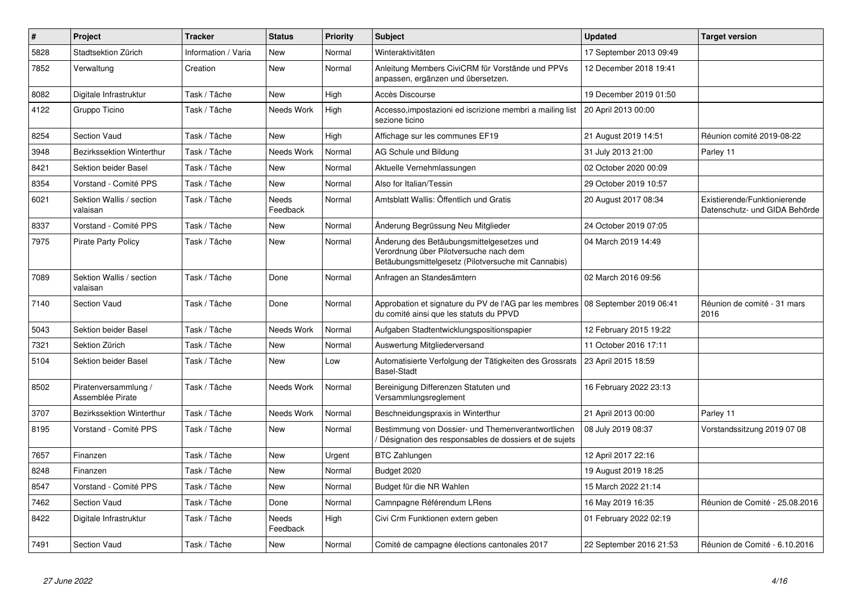| $\#$ | Project                                  | <b>Tracker</b>      | <b>Status</b>     | <b>Priority</b> | <b>Subject</b>                                                                                                                             | <b>Updated</b>          | <b>Target version</b>                                         |
|------|------------------------------------------|---------------------|-------------------|-----------------|--------------------------------------------------------------------------------------------------------------------------------------------|-------------------------|---------------------------------------------------------------|
| 5828 | Stadtsektion Zürich                      | Information / Varia | New               | Normal          | Winteraktivitäten                                                                                                                          | 17 September 2013 09:49 |                                                               |
| 7852 | Verwaltung                               | Creation            | <b>New</b>        | Normal          | Anleitung Members CiviCRM für Vorstände und PPVs<br>anpassen, ergänzen und übersetzen.                                                     | 12 December 2018 19:41  |                                                               |
| 8082 | Digitale Infrastruktur                   | Task / Tâche        | New               | High            | Accès Discourse                                                                                                                            | 19 December 2019 01:50  |                                                               |
| 4122 | Gruppo Ticino                            | Task / Tâche        | Needs Work        | High            | Accesso, impostazioni ed iscrizione membri a mailing list<br>sezione ticino                                                                | 20 April 2013 00:00     |                                                               |
| 8254 | Section Vaud                             | Task / Tâche        | <b>New</b>        | High            | Affichage sur les communes EF19                                                                                                            | 21 August 2019 14:51    | Réunion comité 2019-08-22                                     |
| 3948 | Bezirkssektion Winterthur                | Task / Tâche        | Needs Work        | Normal          | AG Schule und Bildung                                                                                                                      | 31 July 2013 21:00      | Parley 11                                                     |
| 8421 | Sektion beider Basel                     | Task / Tâche        | New               | Normal          | Aktuelle Vernehmlassungen                                                                                                                  | 02 October 2020 00:09   |                                                               |
| 8354 | Vorstand - Comité PPS                    | Task / Tâche        | New               | Normal          | Also for Italian/Tessin                                                                                                                    | 29 October 2019 10:57   |                                                               |
| 6021 | Sektion Wallis / section<br>valaisan     | Task / Tâche        | Needs<br>Feedback | Normal          | Amtsblatt Wallis: Öffentlich und Gratis                                                                                                    | 20 August 2017 08:34    | Existierende/Funktionierende<br>Datenschutz- und GIDA Behörde |
| 8337 | Vorstand - Comité PPS                    | Task / Tâche        | New               | Normal          | Änderung Begrüssung Neu Mitglieder                                                                                                         | 24 October 2019 07:05   |                                                               |
| 7975 | <b>Pirate Party Policy</b>               | Task / Tâche        | <b>New</b>        | Normal          | Änderung des Betäubungsmittelgesetzes und<br>Verordnung über Pilotversuche nach dem<br>Betäubungsmittelgesetz (Pilotversuche mit Cannabis) | 04 March 2019 14:49     |                                                               |
| 7089 | Sektion Wallis / section<br>valaisan     | Task / Tâche        | Done              | Normal          | Anfragen an Standesämtern                                                                                                                  | 02 March 2016 09:56     |                                                               |
| 7140 | <b>Section Vaud</b>                      | Task / Tâche        | Done              | Normal          | Approbation et signature du PV de l'AG par les membres   08 September 2019 06:41<br>du comité ainsi que les statuts du PPVD                |                         | Réunion de comité - 31 mars<br>2016                           |
| 5043 | Sektion beider Basel                     | Task / Tâche        | Needs Work        | Normal          | Aufgaben Stadtentwicklungspositionspapier                                                                                                  | 12 February 2015 19:22  |                                                               |
| 7321 | Sektion Zürich                           | Task / Tâche        | New               | Normal          | Auswertung Mitgliederversand                                                                                                               | 11 October 2016 17:11   |                                                               |
| 5104 | Sektion beider Basel                     | Task / Tâche        | <b>New</b>        | Low             | Automatisierte Verfolgung der Tätigkeiten des Grossrats<br><b>Basel-Stadt</b>                                                              | 23 April 2015 18:59     |                                                               |
| 8502 | Piratenversammlung /<br>Assemblée Pirate | Task / Tâche        | Needs Work        | Normal          | Bereinigung Differenzen Statuten und<br>Versammlungsreglement                                                                              | 16 February 2022 23:13  |                                                               |
| 3707 | Bezirkssektion Winterthur                | Task / Tâche        | <b>Needs Work</b> | Normal          | Beschneidungspraxis in Winterthur                                                                                                          | 21 April 2013 00:00     | Parley 11                                                     |
| 8195 | Vorstand - Comité PPS                    | Task / Tâche        | New               | Normal          | Bestimmung von Dossier- und Themenverantwortlichen<br>Désignation des responsables de dossiers et de sujets                                | 08 July 2019 08:37      | Vorstandssitzung 2019 07 08                                   |
| 7657 | Finanzen                                 | Task / Tâche        | New               | Urgent          | <b>BTC Zahlungen</b>                                                                                                                       | 12 April 2017 22:16     |                                                               |
| 8248 | Finanzen                                 | Task / Tâche        | <b>New</b>        | Normal          | Budget 2020                                                                                                                                | 19 August 2019 18:25    |                                                               |
| 8547 | Vorstand - Comité PPS                    | Task / Tâche        | <b>New</b>        | Normal          | Budget für die NR Wahlen                                                                                                                   | 15 March 2022 21:14     |                                                               |
| 7462 | <b>Section Vaud</b>                      | Task / Tâche        | Done              | Normal          | Camnpagne Référendum LRens                                                                                                                 | 16 May 2019 16:35       | Réunion de Comité - 25.08.2016                                |
| 8422 | Digitale Infrastruktur                   | Task / Tâche        | Needs<br>Feedback | High            | Civi Crm Funktionen extern geben                                                                                                           | 01 February 2022 02:19  |                                                               |
| 7491 | Section Vaud                             | Task / Tâche        | New               | Normal          | Comité de campagne élections cantonales 2017                                                                                               | 22 September 2016 21:53 | Réunion de Comité - 6.10.2016                                 |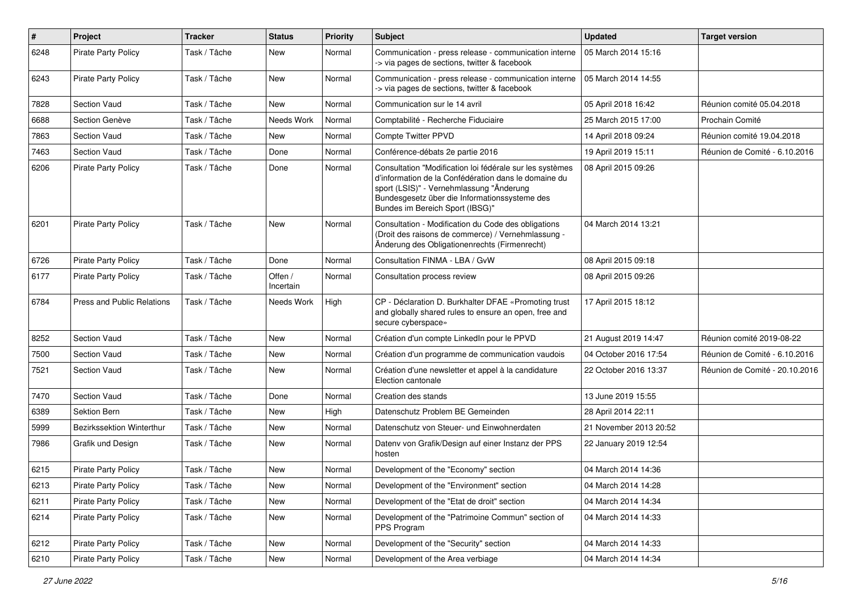| #    | Project                    | <b>Tracker</b> | <b>Status</b>        | <b>Priority</b> | Subject                                                                                                                                                                                                                                          | <b>Updated</b>         | <b>Target version</b>          |
|------|----------------------------|----------------|----------------------|-----------------|--------------------------------------------------------------------------------------------------------------------------------------------------------------------------------------------------------------------------------------------------|------------------------|--------------------------------|
| 6248 | Pirate Party Policy        | Task / Tâche   | New                  | Normal          | Communication - press release - communication interne<br>-> via pages de sections, twitter & facebook                                                                                                                                            | 05 March 2014 15:16    |                                |
| 6243 | Pirate Party Policy        | Task / Tâche   | <b>New</b>           | Normal          | Communication - press release - communication interne<br>-> via pages de sections, twitter & facebook                                                                                                                                            | 05 March 2014 14:55    |                                |
| 7828 | <b>Section Vaud</b>        | Task / Tâche   | <b>New</b>           | Normal          | Communication sur le 14 avril                                                                                                                                                                                                                    | 05 April 2018 16:42    | Réunion comité 05.04.2018      |
| 6688 | Section Genève             | Task / Tâche   | Needs Work           | Normal          | Comptabilité - Recherche Fiduciaire                                                                                                                                                                                                              | 25 March 2015 17:00    | Prochain Comité                |
| 7863 | Section Vaud               | Task / Tâche   | <b>New</b>           | Normal          | Compte Twitter PPVD                                                                                                                                                                                                                              | 14 April 2018 09:24    | Réunion comité 19.04.2018      |
| 7463 | Section Vaud               | Task / Tâche   | Done                 | Normal          | Conférence-débats 2e partie 2016                                                                                                                                                                                                                 | 19 April 2019 15:11    | Réunion de Comité - 6.10.2016  |
| 6206 | <b>Pirate Party Policy</b> | Task / Tâche   | Done                 | Normal          | Consultation "Modification loi fédérale sur les systèmes<br>d'information de la Confédération dans le domaine du<br>sport (LSIS)" - Vernehmlassung "Änderung<br>Bundesgesetz über die Informationssysteme des<br>Bundes im Bereich Sport (IBSG)" | 08 April 2015 09:26    |                                |
| 6201 | <b>Pirate Party Policy</b> | Task / Tâche   | New                  | Normal          | Consultation - Modification du Code des obligations<br>(Droit des raisons de commerce) / Vernehmlassung -<br>Änderung des Obligationenrechts (Firmenrecht)                                                                                       | 04 March 2014 13:21    |                                |
| 6726 | <b>Pirate Party Policy</b> | Task / Tâche   | Done                 | Normal          | Consultation FINMA - LBA / GvW                                                                                                                                                                                                                   | 08 April 2015 09:18    |                                |
| 6177 | <b>Pirate Party Policy</b> | Task / Tâche   | Offen /<br>Incertain | Normal          | Consultation process review                                                                                                                                                                                                                      | 08 April 2015 09:26    |                                |
| 6784 | Press and Public Relations | Task / Tâche   | Needs Work           | High            | CP - Déclaration D. Burkhalter DFAE «Promoting trust<br>and globally shared rules to ensure an open, free and<br>secure cyberspace»                                                                                                              | 17 April 2015 18:12    |                                |
| 8252 | Section Vaud               | Task / Tâche   | <b>New</b>           | Normal          | Création d'un compte LinkedIn pour le PPVD                                                                                                                                                                                                       | 21 August 2019 14:47   | Réunion comité 2019-08-22      |
| 7500 | Section Vaud               | Task / Tâche   | <b>New</b>           | Normal          | Création d'un programme de communication vaudois                                                                                                                                                                                                 | 04 October 2016 17:54  | Réunion de Comité - 6.10.2016  |
| 7521 | Section Vaud               | Task / Tâche   | New                  | Normal          | Création d'une newsletter et appel à la candidature<br>Election cantonale                                                                                                                                                                        | 22 October 2016 13:37  | Réunion de Comité - 20.10.2016 |
| 7470 | <b>Section Vaud</b>        | Task / Tâche   | Done                 | Normal          | Creation des stands                                                                                                                                                                                                                              | 13 June 2019 15:55     |                                |
| 6389 | Sektion Bern               | Task / Tâche   | New                  | High            | Datenschutz Problem BE Gemeinden                                                                                                                                                                                                                 | 28 April 2014 22:11    |                                |
| 5999 | Bezirkssektion Winterthur  | Task / Tâche   | <b>New</b>           | Normal          | Datenschutz von Steuer- und Einwohnerdaten                                                                                                                                                                                                       | 21 November 2013 20:52 |                                |
| 7986 | Grafik und Design          | Task / Tâche   | New                  | Normal          | Datenv von Grafik/Design auf einer Instanz der PPS<br>hosten                                                                                                                                                                                     | 22 January 2019 12:54  |                                |
| 6215 | <b>Pirate Party Policy</b> | Task / Tâche   | <b>New</b>           | Normal          | Development of the "Economy" section                                                                                                                                                                                                             | 04 March 2014 14:36    |                                |
| 6213 | <b>Pirate Party Policy</b> | Task / Tâche   | New                  | Normal          | Development of the "Environment" section                                                                                                                                                                                                         | 04 March 2014 14:28    |                                |
| 6211 | <b>Pirate Party Policy</b> | Task / Tâche   | New                  | Normal          | Development of the "Etat de droit" section                                                                                                                                                                                                       | 04 March 2014 14:34    |                                |
| 6214 | Pirate Party Policy        | Task / Tâche   | New                  | Normal          | Development of the "Patrimoine Commun" section of<br>PPS Program                                                                                                                                                                                 | 04 March 2014 14:33    |                                |
| 6212 | <b>Pirate Party Policy</b> | Task / Tâche   | New                  | Normal          | Development of the "Security" section                                                                                                                                                                                                            | 04 March 2014 14:33    |                                |
| 6210 | Pirate Party Policy        | Task / Tâche   | New                  | Normal          | Development of the Area verbiage                                                                                                                                                                                                                 | 04 March 2014 14:34    |                                |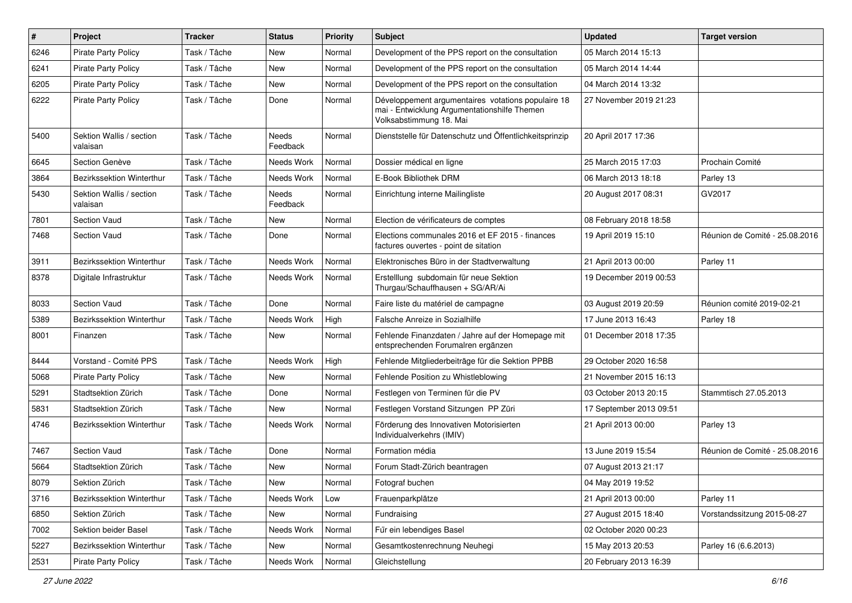| $\pmb{\#}$ | Project                              | <b>Tracker</b> | <b>Status</b>     | <b>Priority</b> | <b>Subject</b>                                                                                                                | <b>Updated</b>          | <b>Target version</b>          |
|------------|--------------------------------------|----------------|-------------------|-----------------|-------------------------------------------------------------------------------------------------------------------------------|-------------------------|--------------------------------|
| 6246       | Pirate Party Policy                  | Task / Tâche   | New               | Normal          | Development of the PPS report on the consultation                                                                             | 05 March 2014 15:13     |                                |
| 6241       | <b>Pirate Party Policy</b>           | Task / Tâche   | <b>New</b>        | Normal          | Development of the PPS report on the consultation                                                                             | 05 March 2014 14:44     |                                |
| 6205       | <b>Pirate Party Policy</b>           | Task / Tâche   | New               | Normal          | Development of the PPS report on the consultation                                                                             | 04 March 2014 13:32     |                                |
| 6222       | <b>Pirate Party Policy</b>           | Task / Tâche   | Done              | Normal          | Développement argumentaires votations populaire 18<br>mai - Entwicklung Argumentationshilfe Themen<br>Volksabstimmung 18. Mai | 27 November 2019 21:23  |                                |
| 5400       | Sektion Wallis / section<br>valaisan | Task / Tâche   | Needs<br>Feedback | Normal          | Dienststelle für Datenschutz und Öffentlichkeitsprinzip                                                                       | 20 April 2017 17:36     |                                |
| 6645       | Section Genève                       | Task / Tâche   | Needs Work        | Normal          | Dossier médical en ligne                                                                                                      | 25 March 2015 17:03     | Prochain Comité                |
| 3864       | <b>Bezirkssektion Winterthur</b>     | Task / Tâche   | Needs Work        | Normal          | E-Book Bibliothek DRM                                                                                                         | 06 March 2013 18:18     | Parley 13                      |
| 5430       | Sektion Wallis / section<br>valaisan | Task / Tâche   | Needs<br>Feedback | Normal          | Einrichtung interne Mailingliste                                                                                              | 20 August 2017 08:31    | GV2017                         |
| 7801       | Section Vaud                         | Task / Tâche   | <b>New</b>        | Normal          | Election de vérificateurs de comptes                                                                                          | 08 February 2018 18:58  |                                |
| 7468       | <b>Section Vaud</b>                  | Task / Tâche   | Done              | Normal          | Elections communales 2016 et EF 2015 - finances<br>factures ouvertes - point de sitation                                      | 19 April 2019 15:10     | Réunion de Comité - 25.08.2016 |
| 3911       | Bezirkssektion Winterthur            | Task / Tâche   | Needs Work        | Normal          | Elektronisches Büro in der Stadtverwaltung                                                                                    | 21 April 2013 00:00     | Parley 11                      |
| 8378       | Digitale Infrastruktur               | Task / Tâche   | Needs Work        | Normal          | Erstelllung subdomain für neue Sektion<br>Thurgau/Schauffhausen + SG/AR/Ai                                                    | 19 December 2019 00:53  |                                |
| 8033       | Section Vaud                         | Task / Tâche   | Done              | Normal          | Faire liste du matériel de campagne                                                                                           | 03 August 2019 20:59    | Réunion comité 2019-02-21      |
| 5389       | Bezirkssektion Winterthur            | Task / Tâche   | Needs Work        | High            | Falsche Anreize in Sozialhilfe                                                                                                | 17 June 2013 16:43      | Parley 18                      |
| 8001       | Finanzen                             | Task / Tâche   | <b>New</b>        | Normal          | Fehlende Finanzdaten / Jahre auf der Homepage mit<br>entsprechenden Forumalren ergänzen                                       | 01 December 2018 17:35  |                                |
| 8444       | Vorstand - Comité PPS                | Task / Tâche   | Needs Work        | High            | Fehlende Mitgliederbeiträge für die Sektion PPBB                                                                              | 29 October 2020 16:58   |                                |
| 5068       | <b>Pirate Party Policy</b>           | Task / Tâche   | New               | Normal          | Fehlende Position zu Whistleblowing                                                                                           | 21 November 2015 16:13  |                                |
| 5291       | Stadtsektion Zürich                  | Task / Tâche   | Done              | Normal          | Festlegen von Terminen für die PV                                                                                             | 03 October 2013 20:15   | Stammtisch 27.05.2013          |
| 5831       | Stadtsektion Zürich                  | Task / Tâche   | <b>New</b>        | Normal          | Festlegen Vorstand Sitzungen PP Züri                                                                                          | 17 September 2013 09:51 |                                |
| 4746       | <b>Bezirkssektion Winterthur</b>     | Task / Tâche   | Needs Work        | Normal          | Förderung des Innovativen Motorisierten<br>Individualverkehrs (IMIV)                                                          | 21 April 2013 00:00     | Parley 13                      |
| 7467       | Section Vaud                         | Task / Tâche   | Done              | Normal          | Formation média                                                                                                               | 13 June 2019 15:54      | Réunion de Comité - 25.08.2016 |
| 5664       | Stadtsektion Zürich                  | Task / Tâche   | New               | Normal          | Forum Stadt-Zürich beantragen                                                                                                 | 07 August 2013 21:17    |                                |
| 8079       | Sektion Zürich                       | Task / Tâche   | New               | Normal          | Fotograf buchen                                                                                                               | 04 May 2019 19:52       |                                |
| 3716       | Bezirkssektion Winterthur            | Task / Tâche   | Needs Work        | Low             | Frauenparkplätze                                                                                                              | 21 April 2013 00:00     | Parley 11                      |
| 6850       | Sektion Zürich                       | Task / Tâche   | New               | Normal          | Fundraising                                                                                                                   | 27 August 2015 18:40    | Vorstandssitzung 2015-08-27    |
| 7002       | Sektion beider Basel                 | Task / Tâche   | Needs Work        | Normal          | Für ein lebendiges Basel                                                                                                      | 02 October 2020 00:23   |                                |
| 5227       | Bezirkssektion Winterthur            | Task / Tâche   | New               | Normal          | Gesamtkostenrechnung Neuhegi                                                                                                  | 15 May 2013 20:53       | Parley 16 (6.6.2013)           |
| 2531       | <b>Pirate Party Policy</b>           | Task / Tâche   | Needs Work        | Normal          | Gleichstellung                                                                                                                | 20 February 2013 16:39  |                                |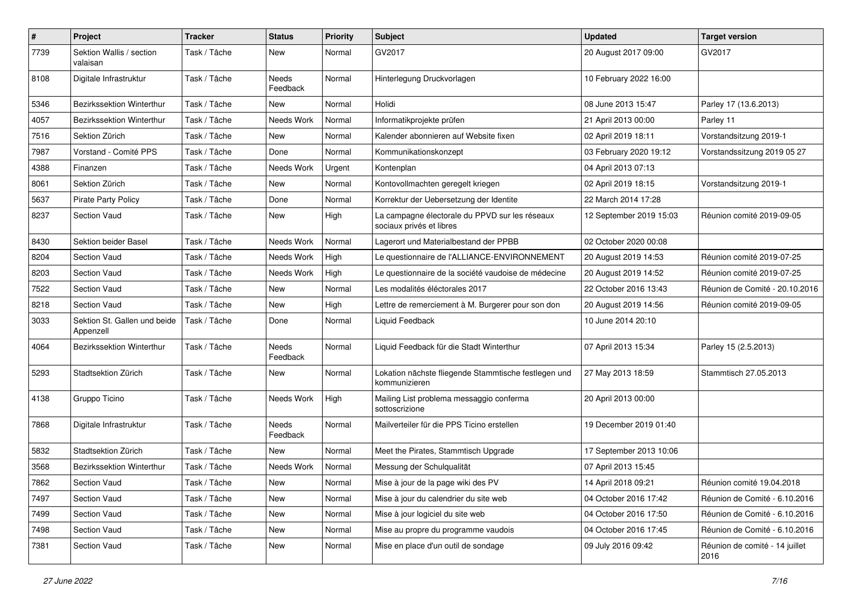| $\pmb{\#}$ | Project                                   | <b>Tracker</b> | <b>Status</b>     | <b>Priority</b> | <b>Subject</b>                                                             | <b>Updated</b>          | <b>Target version</b>                  |
|------------|-------------------------------------------|----------------|-------------------|-----------------|----------------------------------------------------------------------------|-------------------------|----------------------------------------|
| 7739       | Sektion Wallis / section<br>valaisan      | Task / Tâche   | New               | Normal          | GV2017                                                                     | 20 August 2017 09:00    | GV2017                                 |
| 8108       | Digitale Infrastruktur                    | Task / Tâche   | Needs<br>Feedback | Normal          | Hinterlegung Druckvorlagen                                                 | 10 February 2022 16:00  |                                        |
| 5346       | Bezirkssektion Winterthur                 | Task / Tâche   | <b>New</b>        | Normal          | Holidi                                                                     | 08 June 2013 15:47      | Parley 17 (13.6.2013)                  |
| 4057       | Bezirkssektion Winterthur                 | Task / Tâche   | Needs Work        | Normal          | Informatikprojekte prüfen                                                  | 21 April 2013 00:00     | Parley 11                              |
| 7516       | Sektion Zürich                            | Task / Tâche   | New               | Normal          | Kalender abonnieren auf Website fixen                                      | 02 April 2019 18:11     | Vorstandsitzung 2019-1                 |
| 7987       | Vorstand - Comité PPS                     | Task / Tâche   | Done              | Normal          | Kommunikationskonzept                                                      | 03 February 2020 19:12  | Vorstandssitzung 2019 05 27            |
| 4388       | Finanzen                                  | Task / Tâche   | Needs Work        | Urgent          | Kontenplan                                                                 | 04 April 2013 07:13     |                                        |
| 8061       | Sektion Zürich                            | Task / Tâche   | <b>New</b>        | Normal          | Kontovollmachten geregelt kriegen                                          | 02 April 2019 18:15     | Vorstandsitzung 2019-1                 |
| 5637       | <b>Pirate Party Policy</b>                | Task / Tâche   | Done              | Normal          | Korrektur der Uebersetzung der Identite                                    | 22 March 2014 17:28     |                                        |
| 8237       | <b>Section Vaud</b>                       | Task / Tâche   | New               | High            | La campagne électorale du PPVD sur les réseaux<br>sociaux privés et libres | 12 September 2019 15:03 | Réunion comité 2019-09-05              |
| 8430       | Sektion beider Basel                      | Task / Tâche   | Needs Work        | Normal          | Lagerort und Materialbestand der PPBB                                      | 02 October 2020 00:08   |                                        |
| 8204       | <b>Section Vaud</b>                       | Task / Tâche   | Needs Work        | High            | Le questionnaire de l'ALLIANCE-ENVIRONNEMENT                               | 20 August 2019 14:53    | Réunion comité 2019-07-25              |
| 8203       | <b>Section Vaud</b>                       | Task / Tâche   | Needs Work        | High            | Le questionnaire de la société vaudoise de médecine                        | 20 August 2019 14:52    | Réunion comité 2019-07-25              |
| 7522       | <b>Section Vaud</b>                       | Task / Tâche   | New               | Normal          | Les modalités éléctorales 2017                                             | 22 October 2016 13:43   | Réunion de Comité - 20.10.2016         |
| 8218       | <b>Section Vaud</b>                       | Task / Tâche   | <b>New</b>        | High            | Lettre de remerciement à M. Burgerer pour son don                          | 20 August 2019 14:56    | Réunion comité 2019-09-05              |
| 3033       | Sektion St. Gallen und beide<br>Appenzell | Task / Tâche   | Done              | Normal          | Liquid Feedback                                                            | 10 June 2014 20:10      |                                        |
| 4064       | Bezirkssektion Winterthur                 | Task / Tâche   | Needs<br>Feedback | Normal          | Liquid Feedback für die Stadt Winterthur                                   | 07 April 2013 15:34     | Parley 15 (2.5.2013)                   |
| 5293       | Stadtsektion Zürich                       | Task / Tâche   | New               | Normal          | Lokation nächste fliegende Stammtische festlegen und<br>kommunizieren      | 27 May 2013 18:59       | Stammtisch 27.05.2013                  |
| 4138       | Gruppo Ticino                             | Task / Tâche   | Needs Work        | High            | Mailing List problema messaggio conferma<br>sottoscrizione                 | 20 April 2013 00:00     |                                        |
| 7868       | Digitale Infrastruktur                    | Task / Tâche   | Needs<br>Feedback | Normal          | Mailverteiler für die PPS Ticino erstellen                                 | 19 December 2019 01:40  |                                        |
| 5832       | Stadtsektion Zürich                       | Task / Tâche   | New               | Normal          | Meet the Pirates, Stammtisch Upgrade                                       | 17 September 2013 10:06 |                                        |
| 3568       | Bezirkssektion Winterthur                 | Task / Tâche   | Needs Work        | Normal          | Messung der Schulgualität                                                  | 07 April 2013 15:45     |                                        |
| 7862       | Section Vaud                              | Task / Tâche   | New               | Normal          | Mise à jour de la page wiki des PV                                         | 14 April 2018 09:21     | Réunion comité 19.04.2018              |
| 7497       | Section Vaud                              | Task / Tâche   | New               | Normal          | Mise à jour du calendrier du site web                                      | 04 October 2016 17:42   | Réunion de Comité - 6.10.2016          |
| 7499       | Section Vaud                              | Task / Tâche   | New               | Normal          | Mise à jour logiciel du site web                                           | 04 October 2016 17:50   | Réunion de Comité - 6.10.2016          |
| 7498       | Section Vaud                              | Task / Tâche   | New               | Normal          | Mise au propre du programme vaudois                                        | 04 October 2016 17:45   | Réunion de Comité - 6.10.2016          |
| 7381       | Section Vaud                              | Task / Tâche   | New               | Normal          | Mise en place d'un outil de sondage                                        | 09 July 2016 09:42      | Réunion de comité - 14 juillet<br>2016 |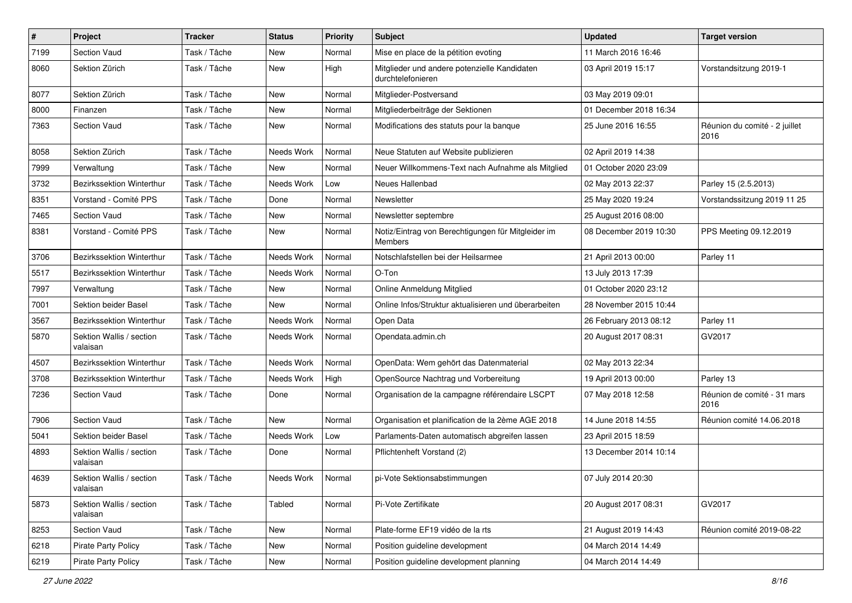| $\#$ | Project                              | <b>Tracker</b> | <b>Status</b> | <b>Priority</b> | <b>Subject</b>                                                    | <b>Updated</b>         | <b>Target version</b>                 |
|------|--------------------------------------|----------------|---------------|-----------------|-------------------------------------------------------------------|------------------------|---------------------------------------|
| 7199 | Section Vaud                         | Task / Tâche   | New           | Normal          | Mise en place de la pétition evoting                              | 11 March 2016 16:46    |                                       |
| 8060 | Sektion Zürich                       | Task / Tâche   | New           | High            | Mitglieder und andere potenzielle Kandidaten<br>durchtelefonieren | 03 April 2019 15:17    | Vorstandsitzung 2019-1                |
| 8077 | Sektion Zürich                       | Task / Tâche   | <b>New</b>    | Normal          | Mitglieder-Postversand                                            | 03 May 2019 09:01      |                                       |
| 8000 | Finanzen                             | Task / Tâche   | New           | Normal          | Mitgliederbeiträge der Sektionen                                  | 01 December 2018 16:34 |                                       |
| 7363 | <b>Section Vaud</b>                  | Task / Tâche   | New           | Normal          | Modifications des statuts pour la banque                          | 25 June 2016 16:55     | Réunion du comité - 2 juillet<br>2016 |
| 8058 | Sektion Zürich                       | Task / Tâche   | Needs Work    | Normal          | Neue Statuten auf Website publizieren                             | 02 April 2019 14:38    |                                       |
| 7999 | Verwaltung                           | Task / Tâche   | New           | Normal          | Neuer Willkommens-Text nach Aufnahme als Mitglied                 | 01 October 2020 23:09  |                                       |
| 3732 | Bezirkssektion Winterthur            | Task / Tâche   | Needs Work    | Low             | Neues Hallenbad                                                   | 02 May 2013 22:37      | Parley 15 (2.5.2013)                  |
| 8351 | Vorstand - Comité PPS                | Task / Tâche   | Done          | Normal          | Newsletter                                                        | 25 May 2020 19:24      | Vorstandssitzung 2019 11 25           |
| 7465 | <b>Section Vaud</b>                  | Task / Tâche   | <b>New</b>    | Normal          | Newsletter septembre                                              | 25 August 2016 08:00   |                                       |
| 8381 | Vorstand - Comité PPS                | Task / Tâche   | New           | Normal          | Notiz/Eintrag von Berechtigungen für Mitgleider im<br>Members     | 08 December 2019 10:30 | PPS Meeting 09.12.2019                |
| 3706 | <b>Bezirkssektion Winterthur</b>     | Task / Tâche   | Needs Work    | Normal          | Notschlafstellen bei der Heilsarmee                               | 21 April 2013 00:00    | Parley 11                             |
| 5517 | Bezirkssektion Winterthur            | Task / Tâche   | Needs Work    | Normal          | O-Ton                                                             | 13 July 2013 17:39     |                                       |
| 7997 | Verwaltung                           | Task / Tâche   | New           | Normal          | Online Anmeldung Mitglied                                         | 01 October 2020 23:12  |                                       |
| 7001 | Sektion beider Basel                 | Task / Tâche   | New           | Normal          | Online Infos/Struktur aktualisieren und überarbeiten              | 28 November 2015 10:44 |                                       |
| 3567 | <b>Bezirkssektion Winterthur</b>     | Task / Tâche   | Needs Work    | Normal          | Open Data                                                         | 26 February 2013 08:12 | Parley 11                             |
| 5870 | Sektion Wallis / section<br>valaisan | Task / Tâche   | Needs Work    | Normal          | Opendata.admin.ch                                                 | 20 August 2017 08:31   | GV2017                                |
| 4507 | <b>Bezirkssektion Winterthur</b>     | Task / Tâche   | Needs Work    | Normal          | OpenData: Wem gehört das Datenmaterial                            | 02 May 2013 22:34      |                                       |
| 3708 | Bezirkssektion Winterthur            | Task / Tâche   | Needs Work    | High            | OpenSource Nachtrag und Vorbereitung                              | 19 April 2013 00:00    | Parley 13                             |
| 7236 | <b>Section Vaud</b>                  | Task / Tâche   | Done          | Normal          | Organisation de la campagne référendaire LSCPT                    | 07 May 2018 12:58      | Réunion de comité - 31 mars<br>2016   |
| 7906 | Section Vaud                         | Task / Tâche   | <b>New</b>    | Normal          | Organisation et planification de la 2ème AGE 2018                 | 14 June 2018 14:55     | Réunion comité 14.06.2018             |
| 5041 | Sektion beider Basel                 | Task / Tâche   | Needs Work    | Low             | Parlaments-Daten automatisch abgreifen lassen                     | 23 April 2015 18:59    |                                       |
| 4893 | Sektion Wallis / section<br>valaisan | Task / Tâche   | Done          | Normal          | Pflichtenheft Vorstand (2)                                        | 13 December 2014 10:14 |                                       |
| 4639 | Sektion Wallis / section<br>valaisan | Task / Tâche   | Needs Work    | Normal          | pi-Vote Sektionsabstimmungen                                      | 07 July 2014 20:30     |                                       |
| 5873 | Sektion Wallis / section<br>valaisan | Task / Tâche   | Tabled        | Normal          | Pi-Vote Zertifikate                                               | 20 August 2017 08:31   | GV2017                                |
| 8253 | Section Vaud                         | Task / Tâche   | New           | Normal          | Plate-forme EF19 vidéo de la rts                                  | 21 August 2019 14:43   | Réunion comité 2019-08-22             |
| 6218 | <b>Pirate Party Policy</b>           | Task / Tâche   | New           | Normal          | Position guideline development                                    | 04 March 2014 14:49    |                                       |
| 6219 | <b>Pirate Party Policy</b>           | Task / Tâche   | New           | Normal          | Position guideline development planning                           | 04 March 2014 14:49    |                                       |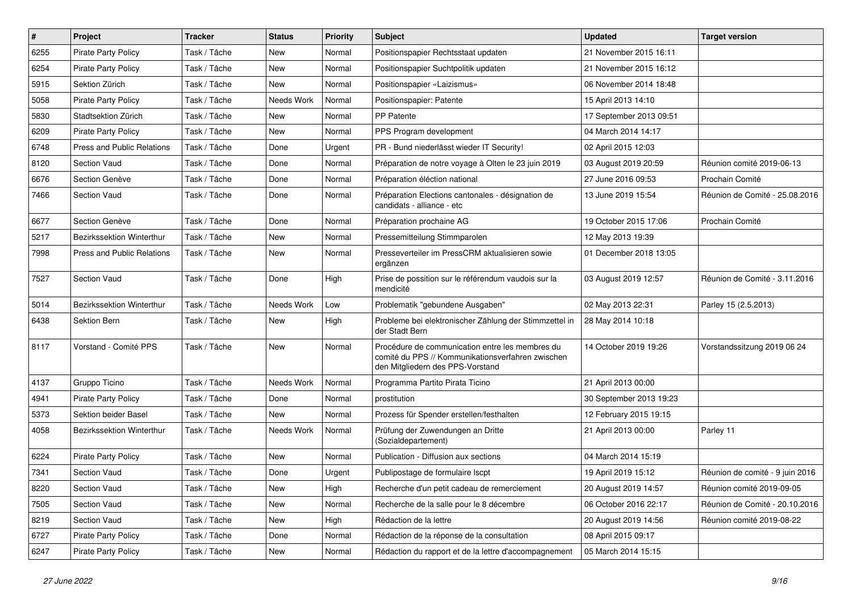| $\sharp$ | Project                           | <b>Tracker</b> | <b>Status</b> | <b>Priority</b> | <b>Subject</b>                                                                                                                           | <b>Updated</b>          | <b>Target version</b>           |
|----------|-----------------------------------|----------------|---------------|-----------------|------------------------------------------------------------------------------------------------------------------------------------------|-------------------------|---------------------------------|
| 6255     | <b>Pirate Party Policy</b>        | Task / Tâche   | New           | Normal          | Positionspapier Rechtsstaat updaten                                                                                                      | 21 November 2015 16:11  |                                 |
| 6254     | <b>Pirate Party Policy</b>        | Task / Tâche   | New           | Normal          | Positionspapier Suchtpolitik updaten                                                                                                     | 21 November 2015 16:12  |                                 |
| 5915     | Sektion Zürich                    | Task / Tâche   | New           | Normal          | Positionspapier «Laizismus»                                                                                                              | 06 November 2014 18:48  |                                 |
| 5058     | <b>Pirate Party Policy</b>        | Task / Tâche   | Needs Work    | Normal          | Positionspapier: Patente                                                                                                                 | 15 April 2013 14:10     |                                 |
| 5830     | Stadtsektion Zürich               | Task / Tâche   | <b>New</b>    | Normal          | PP Patente                                                                                                                               | 17 September 2013 09:51 |                                 |
| 6209     | <b>Pirate Party Policy</b>        | Task / Tâche   | New           | Normal          | PPS Program development                                                                                                                  | 04 March 2014 14:17     |                                 |
| 6748     | <b>Press and Public Relations</b> | Task / Tâche   | Done          | Urgent          | PR - Bund niederlässt wieder IT Security!                                                                                                | 02 April 2015 12:03     |                                 |
| 8120     | Section Vaud                      | Task / Tâche   | Done          | Normal          | Préparation de notre voyage à Olten le 23 juin 2019                                                                                      | 03 August 2019 20:59    | Réunion comité 2019-06-13       |
| 6676     | Section Genève                    | Task / Tâche   | Done          | Normal          | Préparation éléction national                                                                                                            | 27 June 2016 09:53      | Prochain Comité                 |
| 7466     | Section Vaud                      | Task / Tâche   | Done          | Normal          | Préparation Elections cantonales - désignation de<br>candidats - alliance - etc                                                          | 13 June 2019 15:54      | Réunion de Comité - 25.08.2016  |
| 6677     | Section Genève                    | Task / Tâche   | Done          | Normal          | Préparation prochaine AG                                                                                                                 | 19 October 2015 17:06   | Prochain Comité                 |
| 5217     | Bezirkssektion Winterthur         | Task / Tâche   | <b>New</b>    | Normal          | Pressemitteilung Stimmparolen                                                                                                            | 12 May 2013 19:39       |                                 |
| 7998     | <b>Press and Public Relations</b> | Task / Tâche   | New           | Normal          | Presseverteiler im PressCRM aktualisieren sowie<br>ergänzen                                                                              | 01 December 2018 13:05  |                                 |
| 7527     | Section Vaud                      | Task / Tâche   | Done          | High            | Prise de possition sur le référendum vaudois sur la<br>mendicité                                                                         | 03 August 2019 12:57    | Réunion de Comité - 3.11.2016   |
| 5014     | Bezirkssektion Winterthur         | Task / Tâche   | Needs Work    | Low             | Problematik "gebundene Ausgaben"                                                                                                         | 02 May 2013 22:31       | Parley 15 (2.5.2013)            |
| 6438     | Sektion Bern                      | Task / Tâche   | New           | High            | Probleme bei elektronischer Zählung der Stimmzettel in<br>der Stadt Bern                                                                 | 28 May 2014 10:18       |                                 |
| 8117     | Vorstand - Comité PPS             | Task / Tâche   | <b>New</b>    | Normal          | Procédure de communication entre les membres du<br>comité du PPS // Kommunikationsverfahren zwischen<br>den Mitgliedern des PPS-Vorstand | 14 October 2019 19:26   | Vorstandssitzung 2019 06 24     |
| 4137     | Gruppo Ticino                     | Task / Tâche   | Needs Work    | Normal          | Programma Partito Pirata Ticino                                                                                                          | 21 April 2013 00:00     |                                 |
| 4941     | <b>Pirate Party Policy</b>        | Task / Tâche   | Done          | Normal          | prostitution                                                                                                                             | 30 September 2013 19:23 |                                 |
| 5373     | Sektion beider Basel              | Task / Tâche   | New           | Normal          | Prozess für Spender erstellen/festhalten                                                                                                 | 12 February 2015 19:15  |                                 |
| 4058     | Bezirkssektion Winterthur         | Task / Tâche   | Needs Work    | Normal          | Prüfung der Zuwendungen an Dritte<br>(Sozialdepartement)                                                                                 | 21 April 2013 00:00     | Parley 11                       |
| 6224     | <b>Pirate Party Policy</b>        | Task / Tâche   | New           | Normal          | Publication - Diffusion aux sections                                                                                                     | 04 March 2014 15:19     |                                 |
| 7341     | Section Vaud                      | Task / Tâche   | Done          | Urgent          | Publipostage de formulaire Iscpt                                                                                                         | 19 April 2019 15:12     | Réunion de comité - 9 juin 2016 |
| 8220     | Section Vaud                      | Task / Tâche   | New           | High            | Recherche d'un petit cadeau de remerciement                                                                                              | 20 August 2019 14:57    | Réunion comité 2019-09-05       |
| 7505     | Section Vaud                      | Task / Tâche   | New           | Normal          | Recherche de la salle pour le 8 décembre                                                                                                 | 06 October 2016 22:17   | Réunion de Comité - 20.10.2016  |
| 8219     | Section Vaud                      | Task / Tâche   | New           | High            | Rédaction de la lettre                                                                                                                   | 20 August 2019 14:56    | Réunion comité 2019-08-22       |
| 6727     | Pirate Party Policy               | Task / Tâche   | Done          | Normal          | Rédaction de la réponse de la consultation                                                                                               | 08 April 2015 09:17     |                                 |
| 6247     | Pirate Party Policy               | Task / Tâche   | New           | Normal          | Rédaction du rapport et de la lettre d'accompagnement                                                                                    | 05 March 2014 15:15     |                                 |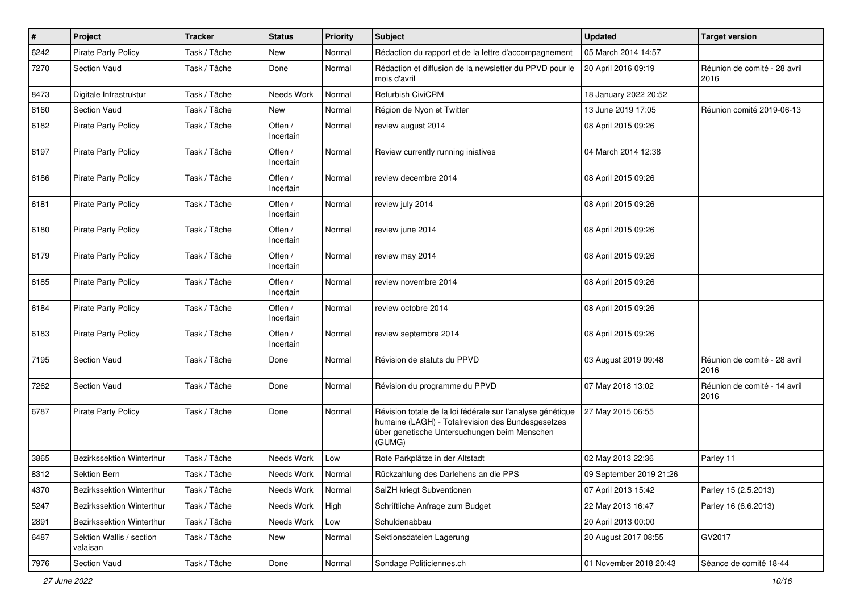| $\pmb{\#}$ | Project                              | <b>Tracker</b> | <b>Status</b>        | <b>Priority</b> | <b>Subject</b>                                                                                                                                                            | <b>Updated</b>          | <b>Target version</b>                |
|------------|--------------------------------------|----------------|----------------------|-----------------|---------------------------------------------------------------------------------------------------------------------------------------------------------------------------|-------------------------|--------------------------------------|
| 6242       | <b>Pirate Party Policy</b>           | Task / Tâche   | New                  | Normal          | Rédaction du rapport et de la lettre d'accompagnement                                                                                                                     | 05 March 2014 14:57     |                                      |
| 7270       | Section Vaud                         | Task / Tâche   | Done                 | Normal          | Rédaction et diffusion de la newsletter du PPVD pour le<br>mois d'avril                                                                                                   | 20 April 2016 09:19     | Réunion de comité - 28 avril<br>2016 |
| 8473       | Digitale Infrastruktur               | Task / Tâche   | Needs Work           | Normal          | <b>Refurbish CiviCRM</b>                                                                                                                                                  | 18 January 2022 20:52   |                                      |
| 8160       | <b>Section Vaud</b>                  | Task / Tâche   | <b>New</b>           | Normal          | Région de Nyon et Twitter                                                                                                                                                 | 13 June 2019 17:05      | Réunion comité 2019-06-13            |
| 6182       | <b>Pirate Party Policy</b>           | Task / Tâche   | Offen /<br>Incertain | Normal          | review august 2014                                                                                                                                                        | 08 April 2015 09:26     |                                      |
| 6197       | <b>Pirate Party Policy</b>           | Task / Tâche   | Offen /<br>Incertain | Normal          | Review currently running iniatives                                                                                                                                        | 04 March 2014 12:38     |                                      |
| 6186       | <b>Pirate Party Policy</b>           | Task / Tâche   | Offen /<br>Incertain | Normal          | review decembre 2014                                                                                                                                                      | 08 April 2015 09:26     |                                      |
| 6181       | <b>Pirate Party Policy</b>           | Task / Tâche   | Offen /<br>Incertain | Normal          | review july 2014                                                                                                                                                          | 08 April 2015 09:26     |                                      |
| 6180       | <b>Pirate Party Policy</b>           | Task / Tâche   | Offen /<br>Incertain | Normal          | review june 2014                                                                                                                                                          | 08 April 2015 09:26     |                                      |
| 6179       | Pirate Party Policy                  | Task / Tâche   | Offen /<br>Incertain | Normal          | review may 2014                                                                                                                                                           | 08 April 2015 09:26     |                                      |
| 6185       | <b>Pirate Party Policy</b>           | Task / Tâche   | Offen /<br>Incertain | Normal          | review novembre 2014                                                                                                                                                      | 08 April 2015 09:26     |                                      |
| 6184       | <b>Pirate Party Policy</b>           | Task / Tâche   | Offen /<br>Incertain | Normal          | review octobre 2014                                                                                                                                                       | 08 April 2015 09:26     |                                      |
| 6183       | <b>Pirate Party Policy</b>           | Task / Tâche   | Offen /<br>Incertain | Normal          | review septembre 2014                                                                                                                                                     | 08 April 2015 09:26     |                                      |
| 7195       | Section Vaud                         | Task / Tâche   | Done                 | Normal          | Révision de statuts du PPVD                                                                                                                                               | 03 August 2019 09:48    | Réunion de comité - 28 avril<br>2016 |
| 7262       | Section Vaud                         | Task / Tâche   | Done                 | Normal          | Révision du programme du PPVD                                                                                                                                             | 07 May 2018 13:02       | Réunion de comité - 14 avril<br>2016 |
| 6787       | <b>Pirate Party Policy</b>           | Task / Tâche   | Done                 | Normal          | Révision totale de la loi fédérale sur l'analyse génétique<br>humaine (LAGH) - Totalrevision des Bundesgesetzes<br>über genetische Untersuchungen beim Menschen<br>(GUMG) | 27 May 2015 06:55       |                                      |
| 3865       | Bezirkssektion Winterthur            | Task / Tâche   | Needs Work           | Low             | Rote Parkplätze in der Altstadt                                                                                                                                           | 02 May 2013 22:36       | Parley 11                            |
| 8312       | Sektion Bern                         | Task / Tâche   | Needs Work           | Normal          | Rückzahlung des Darlehens an die PPS                                                                                                                                      | 09 September 2019 21:26 |                                      |
| 4370       | Bezirkssektion Winterthur            | Task / Tâche   | Needs Work           | Normal          | SalZH kriegt Subventionen                                                                                                                                                 | 07 April 2013 15:42     | Parley 15 (2.5.2013)                 |
| 5247       | Bezirkssektion Winterthur            | Task / Tâche   | Needs Work           | High            | Schriftliche Anfrage zum Budget                                                                                                                                           | 22 May 2013 16:47       | Parley 16 (6.6.2013)                 |
| 2891       | Bezirkssektion Winterthur            | Task / Tâche   | Needs Work           | Low             | Schuldenabbau                                                                                                                                                             | 20 April 2013 00:00     |                                      |
| 6487       | Sektion Wallis / section<br>valaisan | Task / Tâche   | New                  | Normal          | Sektionsdateien Lagerung                                                                                                                                                  | 20 August 2017 08:55    | GV2017                               |
| 7976       | Section Vaud                         | Task / Tâche   | Done                 | Normal          | Sondage Politiciennes.ch                                                                                                                                                  | 01 November 2018 20:43  | Séance de comité 18-44               |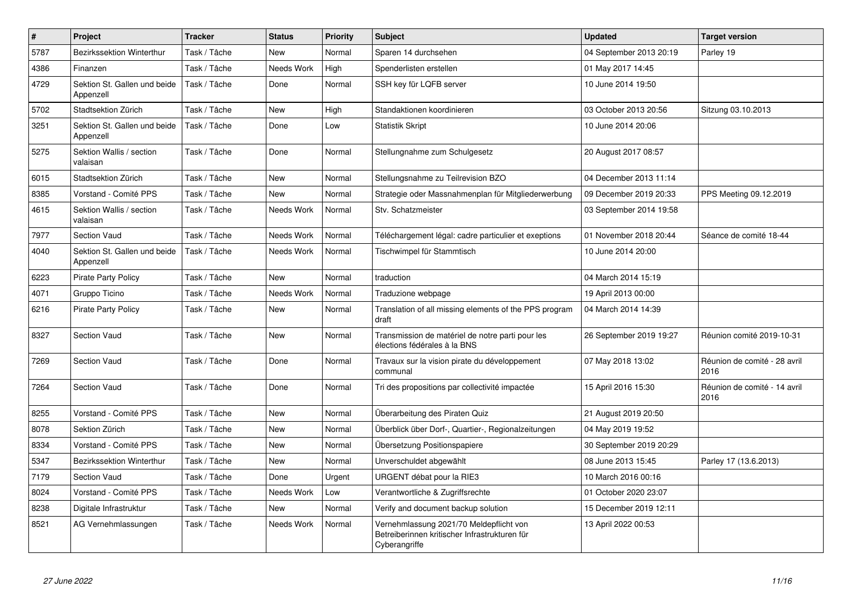| $\vert$ # | Project                                   | <b>Tracker</b> | <b>Status</b> | <b>Priority</b> | <b>Subject</b>                                                                                            | <b>Updated</b>          | <b>Target version</b>                |
|-----------|-------------------------------------------|----------------|---------------|-----------------|-----------------------------------------------------------------------------------------------------------|-------------------------|--------------------------------------|
| 5787      | Bezirkssektion Winterthur                 | Task / Tâche   | New           | Normal          | Sparen 14 durchsehen                                                                                      | 04 September 2013 20:19 | Parley 19                            |
| 4386      | Finanzen                                  | Task / Tâche   | Needs Work    | High            | Spenderlisten erstellen                                                                                   | 01 May 2017 14:45       |                                      |
| 4729      | Sektion St. Gallen und beide<br>Appenzell | Task / Tâche   | Done          | Normal          | SSH key für LQFB server                                                                                   | 10 June 2014 19:50      |                                      |
| 5702      | Stadtsektion Zürich                       | Task / Tâche   | <b>New</b>    | High            | Standaktionen koordinieren                                                                                | 03 October 2013 20:56   | Sitzung 03.10.2013                   |
| 3251      | Sektion St. Gallen und beide<br>Appenzell | Task / Tâche   | Done          | Low             | <b>Statistik Skript</b>                                                                                   | 10 June 2014 20:06      |                                      |
| 5275      | Sektion Wallis / section<br>valaisan      | Task / Tâche   | Done          | Normal          | Stellungnahme zum Schulgesetz                                                                             | 20 August 2017 08:57    |                                      |
| 6015      | Stadtsektion Zürich                       | Task / Tâche   | <b>New</b>    | Normal          | Stellungsnahme zu Teilrevision BZO                                                                        | 04 December 2013 11:14  |                                      |
| 8385      | Vorstand - Comité PPS                     | Task / Tâche   | <b>New</b>    | Normal          | Strategie oder Massnahmenplan für Mitgliederwerbung                                                       | 09 December 2019 20:33  | PPS Meeting 09.12.2019               |
| 4615      | Sektion Wallis / section<br>valaisan      | Task / Tâche   | Needs Work    | Normal          | Stv. Schatzmeister                                                                                        | 03 September 2014 19:58 |                                      |
| 7977      | Section Vaud                              | Task / Tâche   | Needs Work    | Normal          | Téléchargement légal: cadre particulier et exeptions                                                      | 01 November 2018 20:44  | Séance de comité 18-44               |
| 4040      | Sektion St. Gallen und beide<br>Appenzell | Task / Tâche   | Needs Work    | Normal          | Tischwimpel für Stammtisch                                                                                | 10 June 2014 20:00      |                                      |
| 6223      | <b>Pirate Party Policy</b>                | Task / Tâche   | <b>New</b>    | Normal          | traduction                                                                                                | 04 March 2014 15:19     |                                      |
| 4071      | Gruppo Ticino                             | Task / Tâche   | Needs Work    | Normal          | Traduzione webpage                                                                                        | 19 April 2013 00:00     |                                      |
| 6216      | <b>Pirate Party Policy</b>                | Task / Tâche   | New           | Normal          | Translation of all missing elements of the PPS program<br>draft                                           | 04 March 2014 14:39     |                                      |
| 8327      | Section Vaud                              | Task / Tâche   | <b>New</b>    | Normal          | Transmission de matériel de notre parti pour les<br>élections fédérales à la BNS                          | 26 September 2019 19:27 | Réunion comité 2019-10-31            |
| 7269      | Section Vaud                              | Task / Tâche   | Done          | Normal          | Travaux sur la vision pirate du développement<br>communal                                                 | 07 May 2018 13:02       | Réunion de comité - 28 avril<br>2016 |
| 7264      | <b>Section Vaud</b>                       | Task / Tâche   | Done          | Normal          | Tri des propositions par collectivité impactée                                                            | 15 April 2016 15:30     | Réunion de comité - 14 avril<br>2016 |
| 8255      | Vorstand - Comité PPS                     | Task / Tâche   | <b>New</b>    | Normal          | Überarbeitung des Piraten Quiz                                                                            | 21 August 2019 20:50    |                                      |
| 8078      | Sektion Zürich                            | Task / Tâche   | New           | Normal          | Überblick über Dorf-, Quartier-, Regionalzeitungen                                                        | 04 May 2019 19:52       |                                      |
| 8334      | Vorstand - Comité PPS                     | Task / Tâche   | <b>New</b>    | Normal          | Übersetzung Positionspapiere                                                                              | 30 September 2019 20:29 |                                      |
| 5347      | Bezirkssektion Winterthur                 | Task / Tâche   | <b>New</b>    | Normal          | Unverschuldet abgewählt                                                                                   | 08 June 2013 15:45      | Parley 17 (13.6.2013)                |
| 7179      | <b>Section Vaud</b>                       | Task / Tâche   | Done          | Urgent          | URGENT débat pour la RIE3                                                                                 | 10 March 2016 00:16     |                                      |
| 8024      | Vorstand - Comité PPS                     | Task / Tâche   | Needs Work    | Low             | Verantwortliche & Zugriffsrechte                                                                          | 01 October 2020 23:07   |                                      |
| 8238      | Digitale Infrastruktur                    | Task / Tâche   | New           | Normal          | Verify and document backup solution                                                                       | 15 December 2019 12:11  |                                      |
| 8521      | AG Vernehmlassungen                       | Task / Tâche   | Needs Work    | Normal          | Vernehmlassung 2021/70 Meldepflicht von<br>Betreiberinnen kritischer Infrastrukturen für<br>Cyberangriffe | 13 April 2022 00:53     |                                      |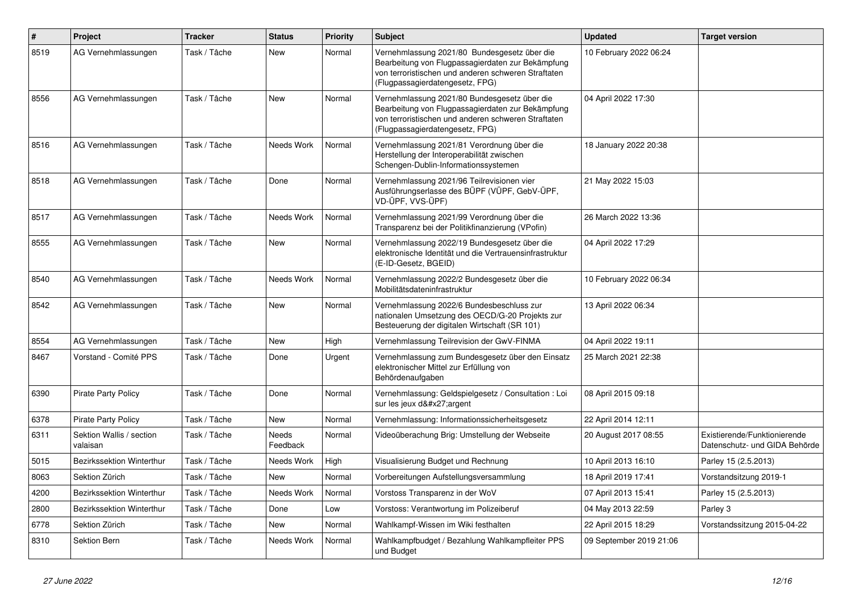| $\vert$ # | Project                              | <b>Tracker</b> | <b>Status</b>     | <b>Priority</b> | <b>Subject</b>                                                                                                                                                                              | <b>Updated</b>          | <b>Target version</b>                                         |
|-----------|--------------------------------------|----------------|-------------------|-----------------|---------------------------------------------------------------------------------------------------------------------------------------------------------------------------------------------|-------------------------|---------------------------------------------------------------|
| 8519      | AG Vernehmlassungen                  | Task / Tâche   | New               | Normal          | Vernehmlassung 2021/80 Bundesgesetz über die<br>Bearbeitung von Flugpassagierdaten zur Bekämpfung<br>von terroristischen und anderen schweren Straftaten<br>(Flugpassagierdatengesetz, FPG) | 10 February 2022 06:24  |                                                               |
| 8556      | AG Vernehmlassungen                  | Task / Tâche   | <b>New</b>        | Normal          | Vernehmlassung 2021/80 Bundesgesetz über die<br>Bearbeitung von Flugpassagierdaten zur Bekämpfung<br>von terroristischen und anderen schweren Straftaten<br>(Flugpassagierdatengesetz, FPG) | 04 April 2022 17:30     |                                                               |
| 8516      | AG Vernehmlassungen                  | Task / Tâche   | Needs Work        | Normal          | Vernehmlassung 2021/81 Verordnung über die<br>Herstellung der Interoperabilität zwischen<br>Schengen-Dublin-Informationssystemen                                                            | 18 January 2022 20:38   |                                                               |
| 8518      | AG Vernehmlassungen                  | Task / Tâche   | Done              | Normal          | Vernehmlassung 2021/96 Teilrevisionen vier<br>Ausführungserlasse des BÜPF (VÜPF, GebV-ÜPF,<br>VD-ÜPF, VVS-ÜPF)                                                                              | 21 May 2022 15:03       |                                                               |
| 8517      | AG Vernehmlassungen                  | Task / Tâche   | Needs Work        | Normal          | Vernehmlassung 2021/99 Verordnung über die<br>Transparenz bei der Politikfinanzierung (VPofin)                                                                                              | 26 March 2022 13:36     |                                                               |
| 8555      | AG Vernehmlassungen                  | Task / Tâche   | New               | Normal          | Vernehmlassung 2022/19 Bundesgesetz über die<br>elektronische Identität und die Vertrauensinfrastruktur<br>(E-ID-Gesetz, BGEID)                                                             | 04 April 2022 17:29     |                                                               |
| 8540      | AG Vernehmlassungen                  | Task / Tâche   | Needs Work        | Normal          | Vernehmlassung 2022/2 Bundesgesetz über die<br>Mobilitätsdateninfrastruktur                                                                                                                 | 10 February 2022 06:34  |                                                               |
| 8542      | AG Vernehmlassungen                  | Task / Tâche   | <b>New</b>        | Normal          | Vernehmlassung 2022/6 Bundesbeschluss zur<br>nationalen Umsetzung des OECD/G-20 Projekts zur<br>Besteuerung der digitalen Wirtschaft (SR 101)                                               | 13 April 2022 06:34     |                                                               |
| 8554      | AG Vernehmlassungen                  | Task / Tâche   | <b>New</b>        | High            | Vernehmlassung Teilrevision der GwV-FINMA                                                                                                                                                   | 04 April 2022 19:11     |                                                               |
| 8467      | Vorstand - Comité PPS                | Task / Tâche   | Done              | Urgent          | Vernehmlassung zum Bundesgesetz über den Einsatz<br>elektronischer Mittel zur Erfüllung von<br>Behördenaufgaben                                                                             | 25 March 2021 22:38     |                                                               |
| 6390      | <b>Pirate Party Policy</b>           | Task / Tâche   | Done              | Normal          | Vernehmlassung: Geldspielgesetz / Consultation : Loi<br>sur les jeux d'argent                                                                                                               | 08 April 2015 09:18     |                                                               |
| 6378      | <b>Pirate Party Policy</b>           | Task / Tâche   | New               | Normal          | Vernehmlassung: Informationssicherheitsgesetz                                                                                                                                               | 22 April 2014 12:11     |                                                               |
| 6311      | Sektion Wallis / section<br>valaisan | Task / Tâche   | Needs<br>Feedback | Normal          | Videoüberachung Brig: Umstellung der Webseite                                                                                                                                               | 20 August 2017 08:55    | Existierende/Funktionierende<br>Datenschutz- und GIDA Behörde |
| 5015      | <b>Bezirkssektion Winterthur</b>     | Task / Tâche   | Needs Work        | High            | Visualisierung Budget und Rechnung                                                                                                                                                          | 10 April 2013 16:10     | Parley 15 (2.5.2013)                                          |
| 8063      | Sektion Zürich                       | Task / Tâche   | <b>New</b>        | Normal          | Vorbereitungen Aufstellungsversammlung                                                                                                                                                      | 18 April 2019 17:41     | Vorstandsitzung 2019-1                                        |
| 4200      | <b>Bezirkssektion Winterthur</b>     | Task / Tâche   | Needs Work        | Normal          | Vorstoss Transparenz in der WoV                                                                                                                                                             | 07 April 2013 15:41     | Parley 15 (2.5.2013)                                          |
| 2800      | Bezirkssektion Winterthur            | Task / Tâche   | Done              | Low             | Vorstoss: Verantwortung im Polizeiberuf                                                                                                                                                     | 04 May 2013 22:59       | Parley 3                                                      |
| 6778      | Sektion Zürich                       | Task / Tâche   | <b>New</b>        | Normal          | Wahlkampf-Wissen im Wiki festhalten                                                                                                                                                         | 22 April 2015 18:29     | Vorstandssitzung 2015-04-22                                   |
| 8310      | Sektion Bern                         | Task / Tâche   | Needs Work        | Normal          | Wahlkampfbudget / Bezahlung Wahlkampfleiter PPS<br>und Budget                                                                                                                               | 09 September 2019 21:06 |                                                               |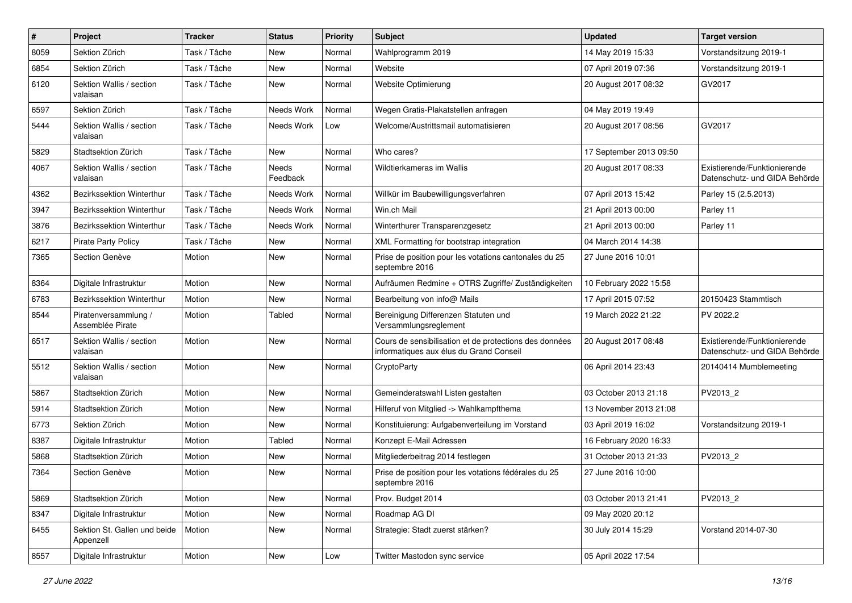| $\#$ | Project                                   | <b>Tracker</b> | <b>Status</b>     | <b>Priority</b> | <b>Subject</b>                                                                                    | <b>Updated</b>          | <b>Target version</b>                                         |
|------|-------------------------------------------|----------------|-------------------|-----------------|---------------------------------------------------------------------------------------------------|-------------------------|---------------------------------------------------------------|
| 8059 | Sektion Zürich                            | Task / Tâche   | New               | Normal          | Wahlprogramm 2019                                                                                 | 14 May 2019 15:33       | Vorstandsitzung 2019-1                                        |
| 6854 | Sektion Zürich                            | Task / Tâche   | New               | Normal          | Website                                                                                           | 07 April 2019 07:36     | Vorstandsitzung 2019-1                                        |
| 6120 | Sektion Wallis / section<br>valaisan      | Task / Tâche   | New               | Normal          | Website Optimierung                                                                               | 20 August 2017 08:32    | GV2017                                                        |
| 6597 | Sektion Zürich                            | Task / Tâche   | Needs Work        | Normal          | Wegen Gratis-Plakatstellen anfragen                                                               | 04 May 2019 19:49       |                                                               |
| 5444 | Sektion Wallis / section<br>valaisan      | Task / Tâche   | Needs Work        | Low             | Welcome/Austrittsmail automatisieren                                                              | 20 August 2017 08:56    | GV2017                                                        |
| 5829 | Stadtsektion Zürich                       | Task / Tâche   | New               | Normal          | Who cares?                                                                                        | 17 September 2013 09:50 |                                                               |
| 4067 | Sektion Wallis / section<br>valaisan      | Task / Tâche   | Needs<br>Feedback | Normal          | Wildtierkameras im Wallis                                                                         | 20 August 2017 08:33    | Existierende/Funktionierende<br>Datenschutz- und GIDA Behörde |
| 4362 | Bezirkssektion Winterthur                 | Task / Tâche   | Needs Work        | Normal          | Willkür im Baubewilligungsverfahren                                                               | 07 April 2013 15:42     | Parley 15 (2.5.2013)                                          |
| 3947 | Bezirkssektion Winterthur                 | Task / Tâche   | Needs Work        | Normal          | Win.ch Mail                                                                                       | 21 April 2013 00:00     | Parley 11                                                     |
| 3876 | Bezirkssektion Winterthur                 | Task / Tâche   | Needs Work        | Normal          | Winterthurer Transparenzgesetz                                                                    | 21 April 2013 00:00     | Parley 11                                                     |
| 6217 | <b>Pirate Party Policy</b>                | Task / Tâche   | <b>New</b>        | Normal          | XML Formatting for bootstrap integration                                                          | 04 March 2014 14:38     |                                                               |
| 7365 | Section Genève                            | Motion         | <b>New</b>        | Normal          | Prise de position pour les votations cantonales du 25<br>septembre 2016                           | 27 June 2016 10:01      |                                                               |
| 8364 | Digitale Infrastruktur                    | Motion         | New               | Normal          | Aufräumen Redmine + OTRS Zugriffe/ Zuständigkeiten                                                | 10 February 2022 15:58  |                                                               |
| 6783 | Bezirkssektion Winterthur                 | Motion         | <b>New</b>        | Normal          | Bearbeitung von info@ Mails                                                                       | 17 April 2015 07:52     | 20150423 Stammtisch                                           |
| 8544 | Piratenversammlung /<br>Assemblée Pirate  | Motion         | Tabled            | Normal          | Bereinigung Differenzen Statuten und<br>Versammlungsreglement                                     | 19 March 2022 21:22     | PV 2022.2                                                     |
| 6517 | Sektion Wallis / section<br>valaisan      | Motion         | New               | Normal          | Cours de sensibilisation et de protections des données<br>informatiques aux élus du Grand Conseil | 20 August 2017 08:48    | Existierende/Funktionierende<br>Datenschutz- und GIDA Behörde |
| 5512 | Sektion Wallis / section<br>valaisan      | Motion         | <b>New</b>        | Normal          | CryptoParty                                                                                       | 06 April 2014 23:43     | 20140414 Mumblemeeting                                        |
| 5867 | Stadtsektion Zürich                       | Motion         | <b>New</b>        | Normal          | Gemeinderatswahl Listen gestalten                                                                 | 03 October 2013 21:18   | PV2013_2                                                      |
| 5914 | Stadtsektion Zürich                       | Motion         | New               | Normal          | Hilferuf von Mitglied -> Wahlkampfthema                                                           | 13 November 2013 21:08  |                                                               |
| 6773 | Sektion Zürich                            | Motion         | New               | Normal          | Konstituierung: Aufgabenverteilung im Vorstand                                                    | 03 April 2019 16:02     | Vorstandsitzung 2019-1                                        |
| 8387 | Digitale Infrastruktur                    | Motion         | Tabled            | Normal          | Konzept E-Mail Adressen                                                                           | 16 February 2020 16:33  |                                                               |
| 5868 | Stadtsektion Zürich                       | Motion         | <b>New</b>        | Normal          | Mitgliederbeitrag 2014 festlegen                                                                  | 31 October 2013 21:33   | PV2013_2                                                      |
| 7364 | Section Genève                            | Motion         | <b>New</b>        | Normal          | Prise de position pour les votations fédérales du 25<br>septembre 2016                            | 27 June 2016 10:00      |                                                               |
| 5869 | Stadtsektion Zürich                       | Motion         | New               | Normal          | Prov. Budget 2014                                                                                 | 03 October 2013 21:41   | PV2013_2                                                      |
| 8347 | Digitale Infrastruktur                    | Motion         | New               | Normal          | Roadmap AG DI                                                                                     | 09 May 2020 20:12       |                                                               |
| 6455 | Sektion St. Gallen und beide<br>Appenzell | Motion         | New               | Normal          | Strategie: Stadt zuerst stärken?                                                                  | 30 July 2014 15:29      | Vorstand 2014-07-30                                           |
| 8557 | Digitale Infrastruktur                    | Motion         | New               | Low             | Twitter Mastodon sync service                                                                     | 05 April 2022 17:54     |                                                               |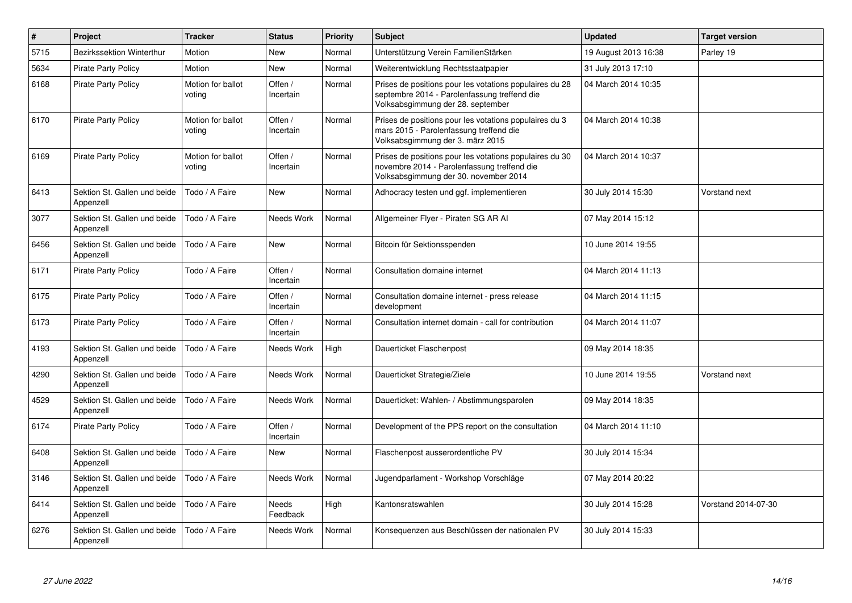| $\pmb{\#}$ | <b>Project</b>                            | <b>Tracker</b>              | <b>Status</b>        | <b>Priority</b> | <b>Subject</b>                                                                                                                                  | <b>Updated</b>       | <b>Target version</b> |
|------------|-------------------------------------------|-----------------------------|----------------------|-----------------|-------------------------------------------------------------------------------------------------------------------------------------------------|----------------------|-----------------------|
| 5715       | <b>Bezirkssektion Winterthur</b>          | Motion                      | <b>New</b>           | Normal          | Unterstützung Verein FamilienStärken                                                                                                            | 19 August 2013 16:38 | Parley 19             |
| 5634       | <b>Pirate Party Policy</b>                | Motion                      | <b>New</b>           | Normal          | Weiterentwicklung Rechtsstaatpapier                                                                                                             | 31 July 2013 17:10   |                       |
| 6168       | <b>Pirate Party Policy</b>                | Motion for ballot<br>voting | Offen /<br>Incertain | Normal          | Prises de positions pour les votations populaires du 28<br>septembre 2014 - Parolenfassung treffend die<br>Volksabsgimmung der 28. september    | 04 March 2014 10:35  |                       |
| 6170       | <b>Pirate Party Policy</b>                | Motion for ballot<br>voting | Offen /<br>Incertain | Normal          | Prises de positions pour les votations populaires du 3<br>mars 2015 - Parolenfassung treffend die<br>Volksabsgimmung der 3. märz 2015           | 04 March 2014 10:38  |                       |
| 6169       | <b>Pirate Party Policy</b>                | Motion for ballot<br>voting | Offen /<br>Incertain | Normal          | Prises de positions pour les votations populaires du 30<br>novembre 2014 - Parolenfassung treffend die<br>Volksabsgimmung der 30. november 2014 | 04 March 2014 10:37  |                       |
| 6413       | Sektion St. Gallen und beide<br>Appenzell | Todo / A Faire              | <b>New</b>           | Normal          | Adhocracy testen und ggf. implementieren                                                                                                        | 30 July 2014 15:30   | Vorstand next         |
| 3077       | Sektion St. Gallen und beide<br>Appenzell | Todo / A Faire              | Needs Work           | Normal          | Allgemeiner Flyer - Piraten SG AR Al                                                                                                            | 07 May 2014 15:12    |                       |
| 6456       | Sektion St. Gallen und beide<br>Appenzell | Todo / A Faire              | <b>New</b>           | Normal          | Bitcoin für Sektionsspenden                                                                                                                     | 10 June 2014 19:55   |                       |
| 6171       | <b>Pirate Party Policy</b>                | Todo / A Faire              | Offen /<br>Incertain | Normal          | Consultation domaine internet                                                                                                                   | 04 March 2014 11:13  |                       |
| 6175       | <b>Pirate Party Policy</b>                | Todo / A Faire              | Offen /<br>Incertain | Normal          | Consultation domaine internet - press release<br>development                                                                                    | 04 March 2014 11:15  |                       |
| 6173       | <b>Pirate Party Policy</b>                | Todo / A Faire              | Offen /<br>Incertain | Normal          | Consultation internet domain - call for contribution                                                                                            | 04 March 2014 11:07  |                       |
| 4193       | Sektion St. Gallen und beide<br>Appenzell | Todo / A Faire              | Needs Work           | High            | Dauerticket Flaschenpost                                                                                                                        | 09 May 2014 18:35    |                       |
| 4290       | Sektion St. Gallen und beide<br>Appenzell | Todo / A Faire              | Needs Work           | Normal          | Dauerticket Strategie/Ziele                                                                                                                     | 10 June 2014 19:55   | Vorstand next         |
| 4529       | Sektion St. Gallen und beide<br>Appenzell | Todo / A Faire              | Needs Work           | Normal          | Dauerticket: Wahlen- / Abstimmungsparolen                                                                                                       | 09 May 2014 18:35    |                       |
| 6174       | <b>Pirate Party Policy</b>                | Todo / A Faire              | Offen /<br>Incertain | Normal          | Development of the PPS report on the consultation                                                                                               | 04 March 2014 11:10  |                       |
| 6408       | Sektion St. Gallen und beide<br>Appenzell | Todo / A Faire              | New                  | Normal          | Flaschenpost ausserordentliche PV                                                                                                               | 30 July 2014 15:34   |                       |
| 3146       | Sektion St. Gallen und beide<br>Appenzell | Todo / A Faire              | Needs Work           | Normal          | Jugendparlament - Workshop Vorschläge                                                                                                           | 07 May 2014 20:22    |                       |
| 6414       | Sektion St. Gallen und beide<br>Appenzell | Todo / A Faire              | Needs<br>Feedback    | High            | Kantonsratswahlen                                                                                                                               | 30 July 2014 15:28   | Vorstand 2014-07-30   |
| 6276       | Sektion St. Gallen und beide<br>Appenzell | Todo / A Faire              | Needs Work           | Normal          | Konsequenzen aus Beschlüssen der nationalen PV                                                                                                  | 30 July 2014 15:33   |                       |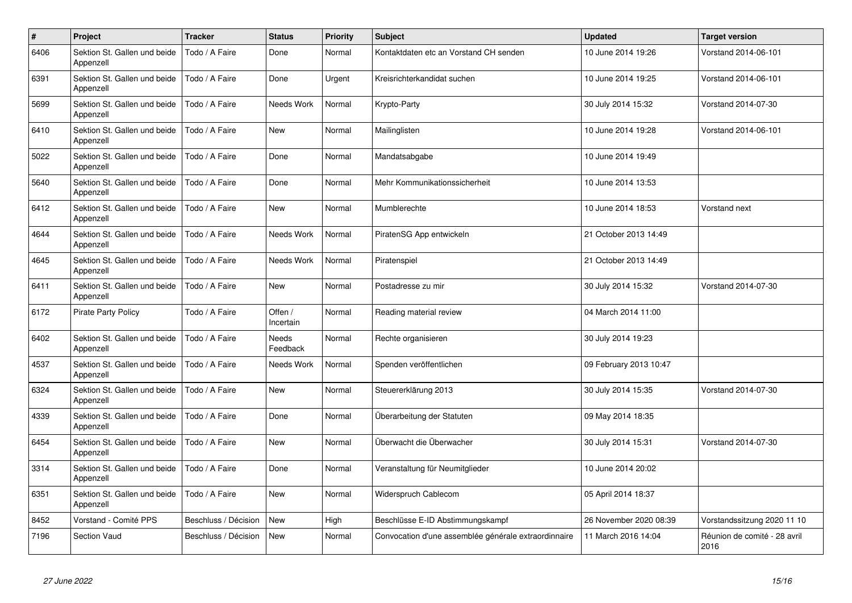| $\#$ | Project                                   | <b>Tracker</b>       | <b>Status</b>        | <b>Priority</b> | <b>Subject</b>                                       | <b>Updated</b>         | <b>Target version</b>                |
|------|-------------------------------------------|----------------------|----------------------|-----------------|------------------------------------------------------|------------------------|--------------------------------------|
| 6406 | Sektion St. Gallen und beide<br>Appenzell | Todo / A Faire       | Done                 | Normal          | Kontaktdaten etc an Vorstand CH senden               | 10 June 2014 19:26     | Vorstand 2014-06-101                 |
| 6391 | Sektion St. Gallen und beide<br>Appenzell | Todo / A Faire       | Done                 | Urgent          | Kreisrichterkandidat suchen                          | 10 June 2014 19:25     | Vorstand 2014-06-101                 |
| 5699 | Sektion St. Gallen und beide<br>Appenzell | Todo / A Faire       | Needs Work           | Normal          | Krypto-Party                                         | 30 July 2014 15:32     | Vorstand 2014-07-30                  |
| 6410 | Sektion St. Gallen und beide<br>Appenzell | Todo / A Faire       | New                  | Normal          | Mailinglisten                                        | 10 June 2014 19:28     | Vorstand 2014-06-101                 |
| 5022 | Sektion St. Gallen und beide<br>Appenzell | Todo / A Faire       | Done                 | Normal          | Mandatsabgabe                                        | 10 June 2014 19:49     |                                      |
| 5640 | Sektion St. Gallen und beide<br>Appenzell | Todo / A Faire       | Done                 | Normal          | Mehr Kommunikationssicherheit                        | 10 June 2014 13:53     |                                      |
| 6412 | Sektion St. Gallen und beide<br>Appenzell | Todo / A Faire       | <b>New</b>           | Normal          | Mumblerechte                                         | 10 June 2014 18:53     | Vorstand next                        |
| 4644 | Sektion St. Gallen und beide<br>Appenzell | Todo / A Faire       | Needs Work           | Normal          | PiratenSG App entwickeln                             | 21 October 2013 14:49  |                                      |
| 4645 | Sektion St. Gallen und beide<br>Appenzell | Todo / A Faire       | Needs Work           | Normal          | Piratenspiel                                         | 21 October 2013 14:49  |                                      |
| 6411 | Sektion St. Gallen und beide<br>Appenzell | Todo / A Faire       | New                  | Normal          | Postadresse zu mir                                   | 30 July 2014 15:32     | Vorstand 2014-07-30                  |
| 6172 | <b>Pirate Party Policy</b>                | Todo / A Faire       | Offen /<br>Incertain | Normal          | Reading material review                              | 04 March 2014 11:00    |                                      |
| 6402 | Sektion St. Gallen und beide<br>Appenzell | Todo / A Faire       | Needs<br>Feedback    | Normal          | Rechte organisieren                                  | 30 July 2014 19:23     |                                      |
| 4537 | Sektion St. Gallen und beide<br>Appenzell | Todo / A Faire       | Needs Work           | Normal          | Spenden veröffentlichen                              | 09 February 2013 10:47 |                                      |
| 6324 | Sektion St. Gallen und beide<br>Appenzell | Todo / A Faire       | New                  | Normal          | Steuererklärung 2013                                 | 30 July 2014 15:35     | Vorstand 2014-07-30                  |
| 4339 | Sektion St. Gallen und beide<br>Appenzell | Todo / A Faire       | Done                 | Normal          | Überarbeitung der Statuten                           | 09 May 2014 18:35      |                                      |
| 6454 | Sektion St. Gallen und beide<br>Appenzell | Todo / A Faire       | <b>New</b>           | Normal          | Überwacht die Überwacher                             | 30 July 2014 15:31     | Vorstand 2014-07-30                  |
| 3314 | Sektion St. Gallen und beide<br>Appenzell | Todo / A Faire       | Done                 | Normal          | Veranstaltung für Neumitglieder                      | 10 June 2014 20:02     |                                      |
| 6351 | Sektion St. Gallen und beide<br>Appenzell | Todo / A Faire       | <b>New</b>           | Normal          | Widerspruch Cablecom                                 | 05 April 2014 18:37    |                                      |
| 8452 | Vorstand - Comité PPS                     | Beschluss / Décision | <b>New</b>           | High            | Beschlüsse E-ID Abstimmungskampf                     | 26 November 2020 08:39 | Vorstandssitzung 2020 11 10          |
| 7196 | <b>Section Vaud</b>                       | Beschluss / Décision | <b>New</b>           | Normal          | Convocation d'une assemblée générale extraordinnaire | 11 March 2016 14:04    | Réunion de comité - 28 avril<br>2016 |